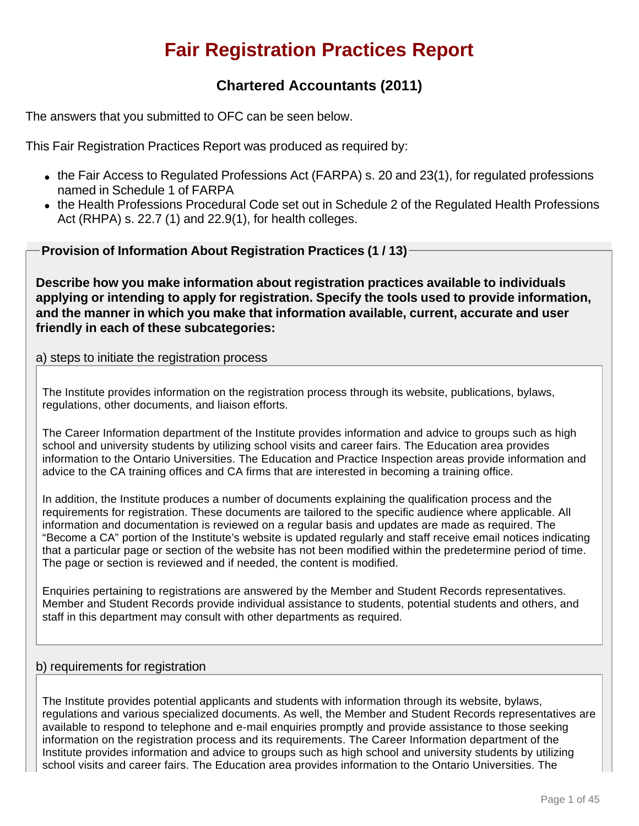# **Fair Registration Practices Report**

# **Chartered Accountants (2011)**

The answers that you submitted to OFC can be seen below.

This Fair Registration Practices Report was produced as required by:

- $\bullet$  the Fair Access to Regulated Professions Act (FARPA) s. 20 and 23(1), for regulated professions named in Schedule 1 of FARPA
- the Health Professions Procedural Code set out in Schedule 2 of the Regulated Health Professions Act (RHPA) s. 22.7 (1) and 22.9(1), for health colleges.

**Provision of Information About Registration Practices (1 / 13)**

**Describe how you make information about registration practices available to individuals applying or intending to apply for registration. Specify the tools used to provide information, and the manner in which you make that information available, current, accurate and user friendly in each of these subcategories:**

# a) steps to initiate the registration process

The Institute provides information on the registration process through its website, publications, bylaws, regulations, other documents, and liaison efforts.

The Career Information department of the Institute provides information and advice to groups such as high school and university students by utilizing school visits and career fairs. The Education area provides information to the Ontario Universities. The Education and Practice Inspection areas provide information and advice to the CA training offices and CA firms that are interested in becoming a training office.

In addition, the Institute produces a number of documents explaining the qualification process and the requirements for registration. These documents are tailored to the specific audience where applicable. All information and documentation is reviewed on a regular basis and updates are made as required. The "Become a CA" portion of the Institute's website is updated regularly and staff receive email notices indicating that a particular page or section of the website has not been modified within the predetermine period of time. The page or section is reviewed and if needed, the content is modified.

Enquiries pertaining to registrations are answered by the Member and Student Records representatives. Member and Student Records provide individual assistance to students, potential students and others, and staff in this department may consult with other departments as required.

# b) requirements for registration

The Institute provides potential applicants and students with information through its website, bylaws, regulations and various specialized documents. As well, the Member and Student Records representatives are available to respond to telephone and e-mail enquiries promptly and provide assistance to those seeking information on the registration process and its requirements. The Career Information department of the Institute provides information and advice to groups such as high school and university students by utilizing school visits and career fairs. The Education area provides information to the Ontario Universities. The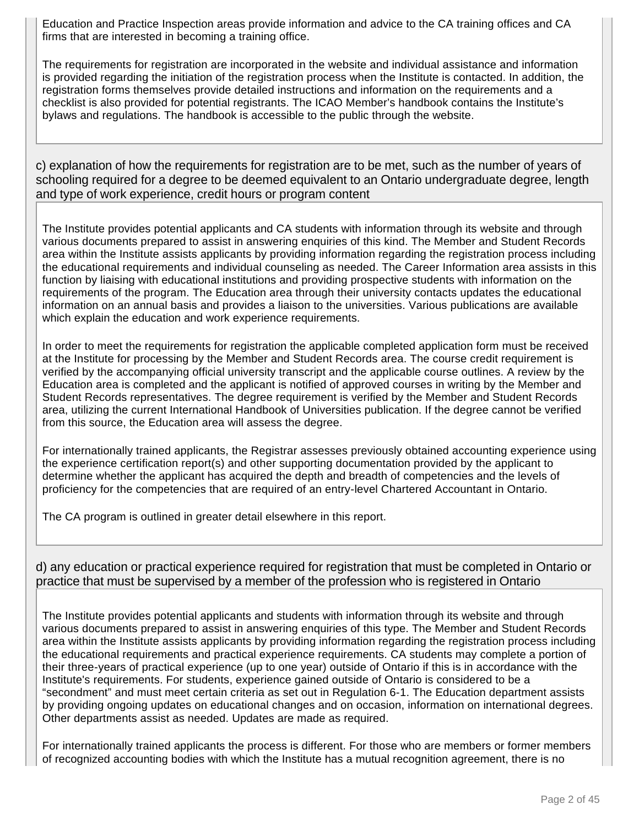Education and Practice Inspection areas provide information and advice to the CA training offices and CA firms that are interested in becoming a training office.

The requirements for registration are incorporated in the website and individual assistance and information is provided regarding the initiation of the registration process when the Institute is contacted. In addition, the registration forms themselves provide detailed instructions and information on the requirements and a checklist is also provided for potential registrants. The ICAO Member's handbook contains the Institute's bylaws and regulations. The handbook is accessible to the public through the website.

c) explanation of how the requirements for registration are to be met, such as the number of years of schooling required for a degree to be deemed equivalent to an Ontario undergraduate degree, length and type of work experience, credit hours or program content

The Institute provides potential applicants and CA students with information through its website and through various documents prepared to assist in answering enquiries of this kind. The Member and Student Records area within the Institute assists applicants by providing information regarding the registration process including the educational requirements and individual counseling as needed. The Career Information area assists in this function by liaising with educational institutions and providing prospective students with information on the requirements of the program. The Education area through their university contacts updates the educational information on an annual basis and provides a liaison to the universities. Various publications are available which explain the education and work experience requirements.

In order to meet the requirements for registration the applicable completed application form must be received at the Institute for processing by the Member and Student Records area. The course credit requirement is verified by the accompanying official university transcript and the applicable course outlines. A review by the Education area is completed and the applicant is notified of approved courses in writing by the Member and Student Records representatives. The degree requirement is verified by the Member and Student Records area, utilizing the current International Handbook of Universities publication. If the degree cannot be verified from this source, the Education area will assess the degree.

For internationally trained applicants, the Registrar assesses previously obtained accounting experience using the experience certification report(s) and other supporting documentation provided by the applicant to determine whether the applicant has acquired the depth and breadth of competencies and the levels of proficiency for the competencies that are required of an entry-level Chartered Accountant in Ontario.

The CA program is outlined in greater detail elsewhere in this report.

d) any education or practical experience required for registration that must be completed in Ontario or practice that must be supervised by a member of the profession who is registered in Ontario

The Institute provides potential applicants and students with information through its website and through various documents prepared to assist in answering enquiries of this type. The Member and Student Records area within the Institute assists applicants by providing information regarding the registration process including the educational requirements and practical experience requirements. CA students may complete a portion of their three-years of practical experience (up to one year) outside of Ontario if this is in accordance with the Institute's requirements. For students, experience gained outside of Ontario is considered to be a "secondment" and must meet certain criteria as set out in Regulation 6-1. The Education department assists by providing ongoing updates on educational changes and on occasion, information on international degrees. Other departments assist as needed. Updates are made as required.

For internationally trained applicants the process is different. For those who are members or former members of recognized accounting bodies with which the Institute has a mutual recognition agreement, there is no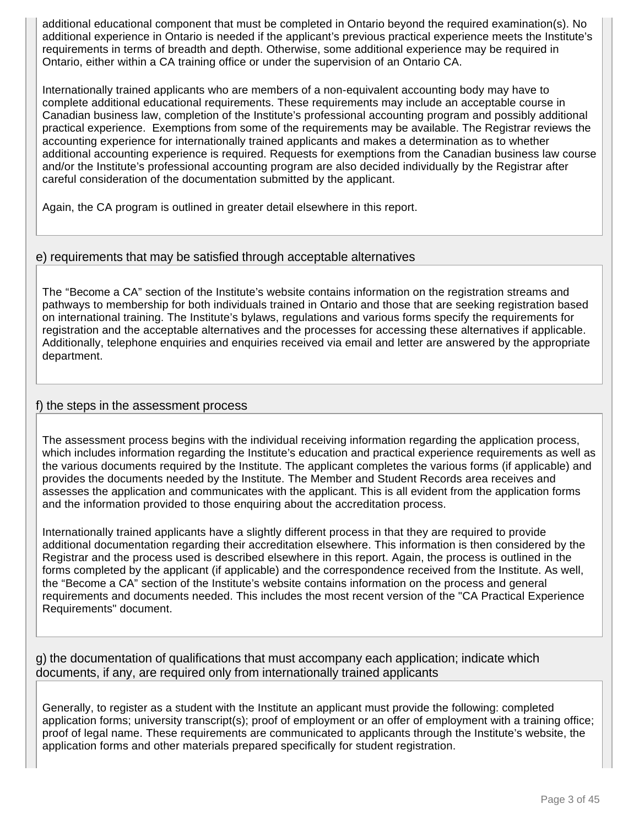additional educational component that must be completed in Ontario beyond the required examination(s). No additional experience in Ontario is needed if the applicant's previous practical experience meets the Institute's requirements in terms of breadth and depth. Otherwise, some additional experience may be required in Ontario, either within a CA training office or under the supervision of an Ontario CA.

Internationally trained applicants who are members of a non-equivalent accounting body may have to complete additional educational requirements. These requirements may include an acceptable course in Canadian business law, completion of the Institute's professional accounting program and possibly additional practical experience. Exemptions from some of the requirements may be available. The Registrar reviews the accounting experience for internationally trained applicants and makes a determination as to whether additional accounting experience is required. Requests for exemptions from the Canadian business law course and/or the Institute's professional accounting program are also decided individually by the Registrar after careful consideration of the documentation submitted by the applicant.

Again, the CA program is outlined in greater detail elsewhere in this report.

# e) requirements that may be satisfied through acceptable alternatives

The "Become a CA" section of the Institute's website contains information on the registration streams and pathways to membership for both individuals trained in Ontario and those that are seeking registration based on international training. The Institute's bylaws, regulations and various forms specify the requirements for registration and the acceptable alternatives and the processes for accessing these alternatives if applicable. Additionally, telephone enquiries and enquiries received via email and letter are answered by the appropriate department.

### f) the steps in the assessment process

The assessment process begins with the individual receiving information regarding the application process, which includes information regarding the Institute's education and practical experience requirements as well as the various documents required by the Institute. The applicant completes the various forms (if applicable) and provides the documents needed by the Institute. The Member and Student Records area receives and assesses the application and communicates with the applicant. This is all evident from the application forms and the information provided to those enquiring about the accreditation process.

Internationally trained applicants have a slightly different process in that they are required to provide additional documentation regarding their accreditation elsewhere. This information is then considered by the Registrar and the process used is described elsewhere in this report. Again, the process is outlined in the forms completed by the applicant (if applicable) and the correspondence received from the Institute. As well, the "Become a CA" section of the Institute's website contains information on the process and general requirements and documents needed. This includes the most recent version of the "CA Practical Experience Requirements" document.

g) the documentation of qualifications that must accompany each application; indicate which documents, if any, are required only from internationally trained applicants

Generally, to register as a student with the Institute an applicant must provide the following: completed application forms; university transcript(s); proof of employment or an offer of employment with a training office; proof of legal name. These requirements are communicated to applicants through the Institute's website, the application forms and other materials prepared specifically for student registration.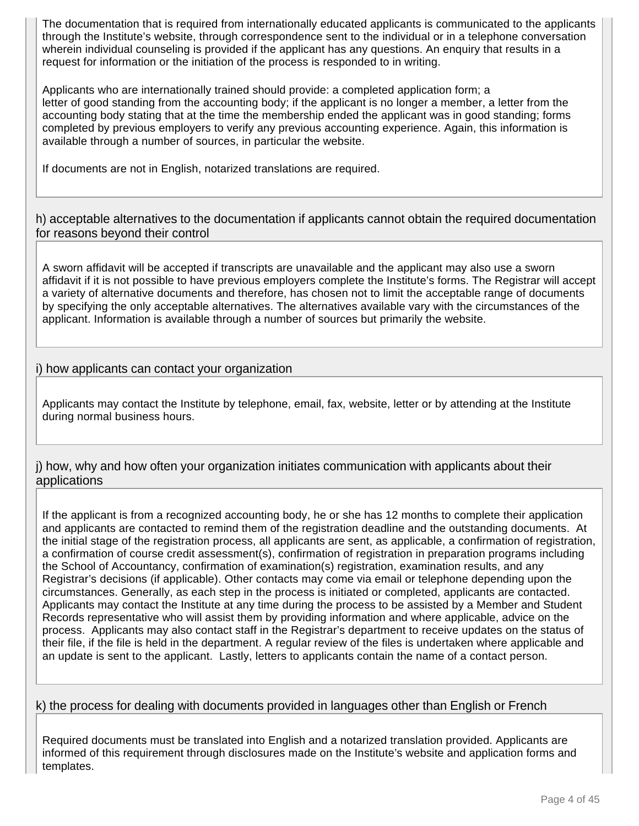The documentation that is required from internationally educated applicants is communicated to the applicants through the Institute's website, through correspondence sent to the individual or in a telephone conversation wherein individual counseling is provided if the applicant has any questions. An enquiry that results in a request for information or the initiation of the process is responded to in writing.

Applicants who are internationally trained should provide: a completed application form; a letter of good standing from the accounting body; if the applicant is no longer a member, a letter from the accounting body stating that at the time the membership ended the applicant was in good standing; forms completed by previous employers to verify any previous accounting experience. Again, this information is available through a number of sources, in particular the website.

If documents are not in English, notarized translations are required.

h) acceptable alternatives to the documentation if applicants cannot obtain the required documentation for reasons beyond their control

A sworn affidavit will be accepted if transcripts are unavailable and the applicant may also use a sworn affidavit if it is not possible to have previous employers complete the Institute's forms. The Registrar will accept a variety of alternative documents and therefore, has chosen not to limit the acceptable range of documents by specifying the only acceptable alternatives. The alternatives available vary with the circumstances of the applicant. Information is available through a number of sources but primarily the website.

# i) how applicants can contact your organization

Applicants may contact the Institute by telephone, email, fax, website, letter or by attending at the Institute during normal business hours.

j) how, why and how often your organization initiates communication with applicants about their applications

If the applicant is from a recognized accounting body, he or she has 12 months to complete their application and applicants are contacted to remind them of the registration deadline and the outstanding documents. At the initial stage of the registration process, all applicants are sent, as applicable, a confirmation of registration, a confirmation of course credit assessment(s), confirmation of registration in preparation programs including the School of Accountancy, confirmation of examination(s) registration, examination results, and any Registrar's decisions (if applicable). Other contacts may come via email or telephone depending upon the circumstances. Generally, as each step in the process is initiated or completed, applicants are contacted. Applicants may contact the Institute at any time during the process to be assisted by a Member and Student Records representative who will assist them by providing information and where applicable, advice on the process. Applicants may also contact staff in the Registrar's department to receive updates on the status of their file, if the file is held in the department. A regular review of the files is undertaken where applicable and an update is sent to the applicant. Lastly, letters to applicants contain the name of a contact person.

# k) the process for dealing with documents provided in languages other than English or French

Required documents must be translated into English and a notarized translation provided. Applicants are informed of this requirement through disclosures made on the Institute's website and application forms and templates.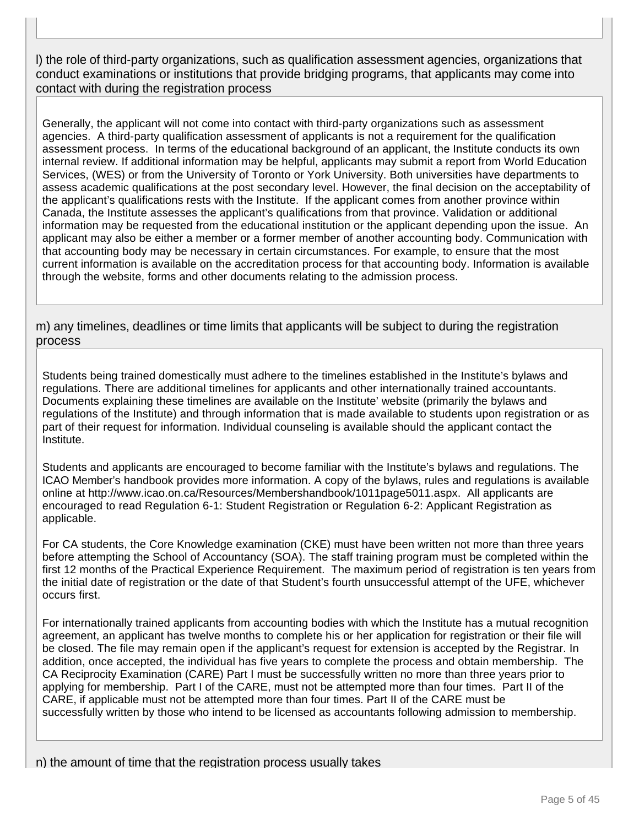l) the role of third-party organizations, such as qualification assessment agencies, organizations that conduct examinations or institutions that provide bridging programs, that applicants may come into contact with during the registration process

Generally, the applicant will not come into contact with third-party organizations such as assessment agencies. A third-party qualification assessment of applicants is not a requirement for the qualification assessment process. In terms of the educational background of an applicant, the Institute conducts its own internal review. If additional information may be helpful, applicants may submit a report from World Education Services, (WES) or from the University of Toronto or York University. Both universities have departments to assess academic qualifications at the post secondary level. However, the final decision on the acceptability of the applicant's qualifications rests with the Institute. If the applicant comes from another province within Canada, the Institute assesses the applicant's qualifications from that province. Validation or additional information may be requested from the educational institution or the applicant depending upon the issue. An applicant may also be either a member or a former member of another accounting body. Communication with that accounting body may be necessary in certain circumstances. For example, to ensure that the most current information is available on the accreditation process for that accounting body. Information is available through the website, forms and other documents relating to the admission process.

m) any timelines, deadlines or time limits that applicants will be subject to during the registration process

Students being trained domestically must adhere to the timelines established in the Institute's bylaws and regulations. There are additional timelines for applicants and other internationally trained accountants. Documents explaining these timelines are available on the Institute' website (primarily the bylaws and regulations of the Institute) and through information that is made available to students upon registration or as part of their request for information. Individual counseling is available should the applicant contact the Institute.

Students and applicants are encouraged to become familiar with the Institute's bylaws and regulations. The ICAO Member's handbook provides more information. A copy of the bylaws, rules and regulations is available online at http://www.icao.on.ca/Resources/Membershandbook/1011page5011.aspx. All applicants are encouraged to read Regulation 6-1: Student Registration or Regulation 6-2: Applicant Registration as applicable.

For CA students, the Core Knowledge examination (CKE) must have been written not more than three years before attempting the School of Accountancy (SOA). The staff training program must be completed within the first 12 months of the Practical Experience Requirement. The maximum period of registration is ten years from the initial date of registration or the date of that Student's fourth unsuccessful attempt of the UFE, whichever occurs first.

For internationally trained applicants from accounting bodies with which the Institute has a mutual recognition agreement, an applicant has twelve months to complete his or her application for registration or their file will be closed. The file may remain open if the applicant's request for extension is accepted by the Registrar. In addition, once accepted, the individual has five years to complete the process and obtain membership. The CA Reciprocity Examination (CARE) Part I must be successfully written no more than three years prior to applying for membership. Part I of the CARE, must not be attempted more than four times. Part II of the CARE, if applicable must not be attempted more than four times. Part II of the CARE must be successfully written by those who intend to be licensed as accountants following admission to membership.

n) the amount of time that the registration process usually takes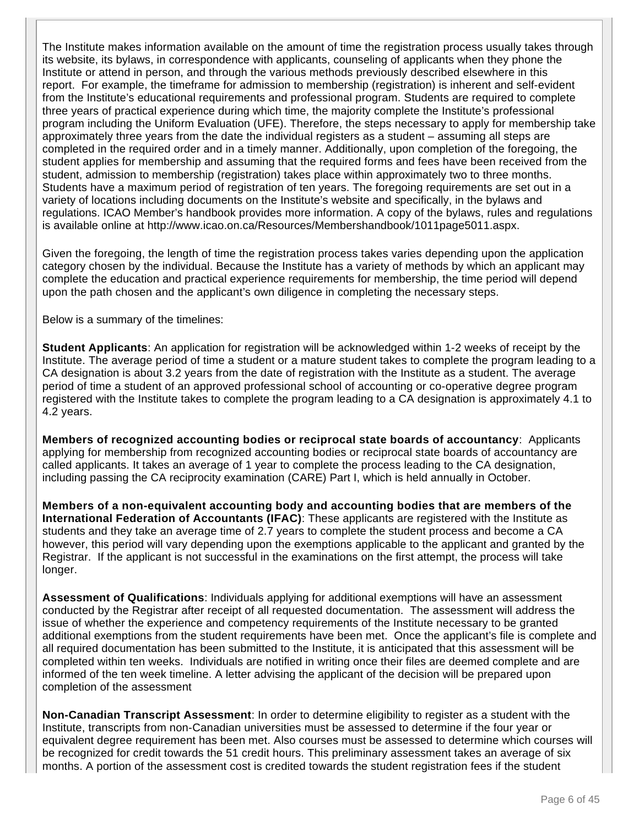The Institute makes information available on the amount of time the registration process usually takes through its website, its bylaws, in correspondence with applicants, counseling of applicants when they phone the Institute or attend in person, and through the various methods previously described elsewhere in this report. For example, the timeframe for admission to membership (registration) is inherent and self-evident from the Institute's educational requirements and professional program. Students are required to complete three years of practical experience during which time, the majority complete the Institute's professional program including the Uniform Evaluation (UFE). Therefore, the steps necessary to apply for membership take approximately three years from the date the individual registers as a student – assuming all steps are completed in the required order and in a timely manner. Additionally, upon completion of the foregoing, the student applies for membership and assuming that the required forms and fees have been received from the student, admission to membership (registration) takes place within approximately two to three months. Students have a maximum period of registration of ten years. The foregoing requirements are set out in a variety of locations including documents on the Institute's website and specifically, in the bylaws and regulations. ICAO Member's handbook provides more information. A copy of the bylaws, rules and regulations is available online at http://www.icao.on.ca/Resources/Membershandbook/1011page5011.aspx.

Given the foregoing, the length of time the registration process takes varies depending upon the application category chosen by the individual. Because the Institute has a variety of methods by which an applicant may complete the education and practical experience requirements for membership, the time period will depend upon the path chosen and the applicant's own diligence in completing the necessary steps.

Below is a summary of the timelines:

**Student Applicants**: An application for registration will be acknowledged within 1-2 weeks of receipt by the Institute. The average period of time a student or a mature student takes to complete the program leading to a CA designation is about 3.2 years from the date of registration with the Institute as a student. The average period of time a student of an approved professional school of accounting or co-operative degree program registered with the Institute takes to complete the program leading to a CA designation is approximately 4.1 to 4.2 years.

**Members of recognized accounting bodies or reciprocal state boards of accountancy**: Applicants applying for membership from recognized accounting bodies or reciprocal state boards of accountancy are called applicants. It takes an average of 1 year to complete the process leading to the CA designation, including passing the CA reciprocity examination (CARE) Part I, which is held annually in October.

**Members of a non-equivalent accounting body and accounting bodies that are members of the International Federation of Accountants (IFAC)**: These applicants are registered with the Institute as students and they take an average time of 2.7 years to complete the student process and become a CA however, this period will vary depending upon the exemptions applicable to the applicant and granted by the Registrar. If the applicant is not successful in the examinations on the first attempt, the process will take longer.

**Assessment of Qualifications**: Individuals applying for additional exemptions will have an assessment conducted by the Registrar after receipt of all requested documentation. The assessment will address the issue of whether the experience and competency requirements of the Institute necessary to be granted additional exemptions from the student requirements have been met. Once the applicant's file is complete and all required documentation has been submitted to the Institute, it is anticipated that this assessment will be completed within ten weeks. Individuals are notified in writing once their files are deemed complete and are informed of the ten week timeline. A letter advising the applicant of the decision will be prepared upon completion of the assessment

**Non-Canadian Transcript Assessment**: In order to determine eligibility to register as a student with the Institute, transcripts from non-Canadian universities must be assessed to determine if the four year or equivalent degree requirement has been met. Also courses must be assessed to determine which courses will be recognized for credit towards the 51 credit hours. This preliminary assessment takes an average of six months. A portion of the assessment cost is credited towards the student registration fees if the student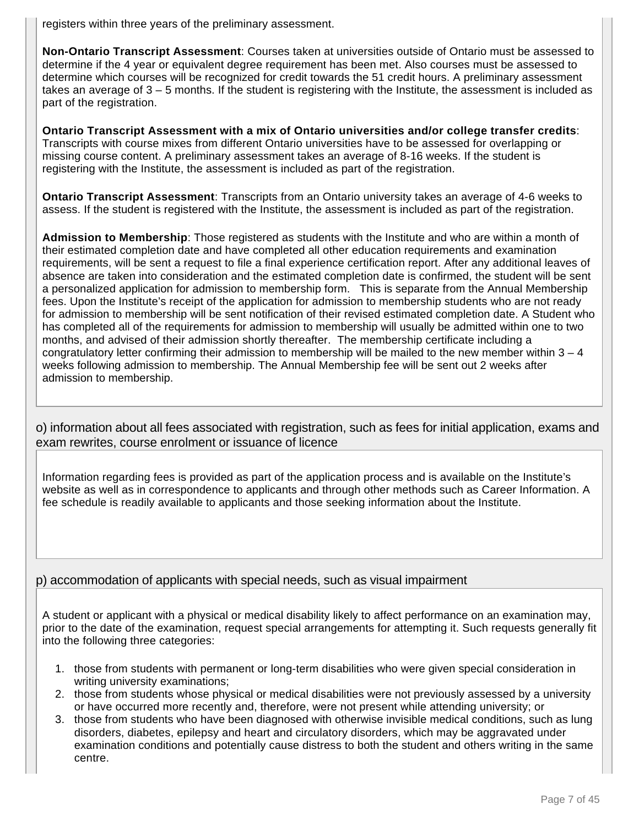registers within three years of the preliminary assessment.

**Non-Ontario Transcript Assessment**: Courses taken at universities outside of Ontario must be assessed to determine if the 4 year or equivalent degree requirement has been met. Also courses must be assessed to determine which courses will be recognized for credit towards the 51 credit hours. A preliminary assessment takes an average of 3 – 5 months. If the student is registering with the Institute, the assessment is included as part of the registration.

**Ontario Transcript Assessment with a mix of Ontario universities and/or college transfer credits**: Transcripts with course mixes from different Ontario universities have to be assessed for overlapping or missing course content. A preliminary assessment takes an average of 8-16 weeks. If the student is registering with the Institute, the assessment is included as part of the registration.

**Ontario Transcript Assessment**: Transcripts from an Ontario university takes an average of 4-6 weeks to assess. If the student is registered with the Institute, the assessment is included as part of the registration.

**Admission to Membership**: Those registered as students with the Institute and who are within a month of their estimated completion date and have completed all other education requirements and examination requirements, will be sent a request to file a final experience certification report. After any additional leaves of absence are taken into consideration and the estimated completion date is confirmed, the student will be sent a personalized application for admission to membership form. This is separate from the Annual Membership fees. Upon the Institute's receipt of the application for admission to membership students who are not ready for admission to membership will be sent notification of their revised estimated completion date. A Student who has completed all of the requirements for admission to membership will usually be admitted within one to two months, and advised of their admission shortly thereafter. The membership certificate including a congratulatory letter confirming their admission to membership will be mailed to the new member within  $3 - 4$ weeks following admission to membership. The Annual Membership fee will be sent out 2 weeks after admission to membership.

o) information about all fees associated with registration, such as fees for initial application, exams and exam rewrites, course enrolment or issuance of licence

Information regarding fees is provided as part of the application process and is available on the Institute's website as well as in correspondence to applicants and through other methods such as Career Information. A fee schedule is readily available to applicants and those seeking information about the Institute.

# p) accommodation of applicants with special needs, such as visual impairment

A student or applicant with a physical or medical disability likely to affect performance on an examination may, prior to the date of the examination, request special arrangements for attempting it. Such requests generally fit into the following three categories:

- 1. those from students with permanent or long-term disabilities who were given special consideration in writing university examinations;
- 2. those from students whose physical or medical disabilities were not previously assessed by a university or have occurred more recently and, therefore, were not present while attending university; or
- 3. those from students who have been diagnosed with otherwise invisible medical conditions, such as lung disorders, diabetes, epilepsy and heart and circulatory disorders, which may be aggravated under examination conditions and potentially cause distress to both the student and others writing in the same centre.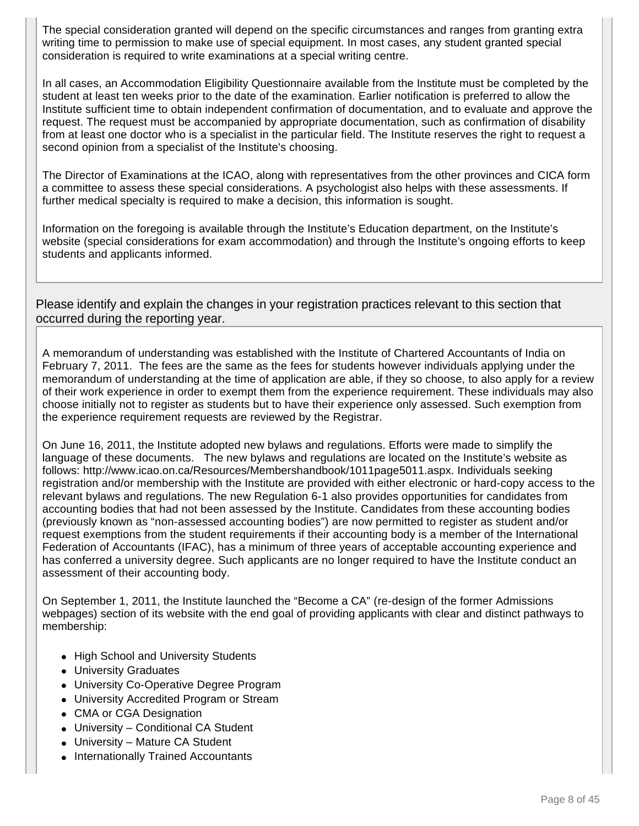The special consideration granted will depend on the specific circumstances and ranges from granting extra writing time to permission to make use of special equipment. In most cases, any student granted special consideration is required to write examinations at a special writing centre.

In all cases, an Accommodation Eligibility Questionnaire available from the Institute must be completed by the student at least ten weeks prior to the date of the examination. Earlier notification is preferred to allow the Institute sufficient time to obtain independent confirmation of documentation, and to evaluate and approve the request. The request must be accompanied by appropriate documentation, such as confirmation of disability from at least one doctor who is a specialist in the particular field. The Institute reserves the right to request a second opinion from a specialist of the Institute's choosing.

The Director of Examinations at the ICAO, along with representatives from the other provinces and CICA form a committee to assess these special considerations. A psychologist also helps with these assessments. If further medical specialty is required to make a decision, this information is sought.

Information on the foregoing is available through the Institute's Education department, on the Institute's website (special considerations for exam accommodation) and through the Institute's ongoing efforts to keep students and applicants informed.

Please identify and explain the changes in your registration practices relevant to this section that occurred during the reporting year.

A memorandum of understanding was established with the Institute of Chartered Accountants of India on February 7, 2011. The fees are the same as the fees for students however individuals applying under the memorandum of understanding at the time of application are able, if they so choose, to also apply for a review of their work experience in order to exempt them from the experience requirement. These individuals may also choose initially not to register as students but to have their experience only assessed. Such exemption from the experience requirement requests are reviewed by the Registrar.

On June 16, 2011, the Institute adopted new bylaws and regulations. Efforts were made to simplify the language of these documents. The new bylaws and regulations are located on the Institute's website as follows: http://www.icao.on.ca/Resources/Membershandbook/1011page5011.aspx. Individuals seeking registration and/or membership with the Institute are provided with either electronic or hard-copy access to the relevant bylaws and regulations. The new Regulation 6-1 also provides opportunities for candidates from accounting bodies that had not been assessed by the Institute. Candidates from these accounting bodies (previously known as "non-assessed accounting bodies") are now permitted to register as student and/or request exemptions from the student requirements if their accounting body is a member of the International Federation of Accountants (IFAC), has a minimum of three years of acceptable accounting experience and has conferred a university degree. Such applicants are no longer required to have the Institute conduct an assessment of their accounting body.

On September 1, 2011, the Institute launched the "Become a CA" (re-design of the former Admissions webpages) section of its website with the end goal of providing applicants with clear and distinct pathways to membership:

- High School and University Students
- University Graduates
- University Co-Operative Degree Program
- University Accredited Program or Stream
- CMA or CGA Designation
- University Conditional CA Student
- University Mature CA Student
- Internationally Trained Accountants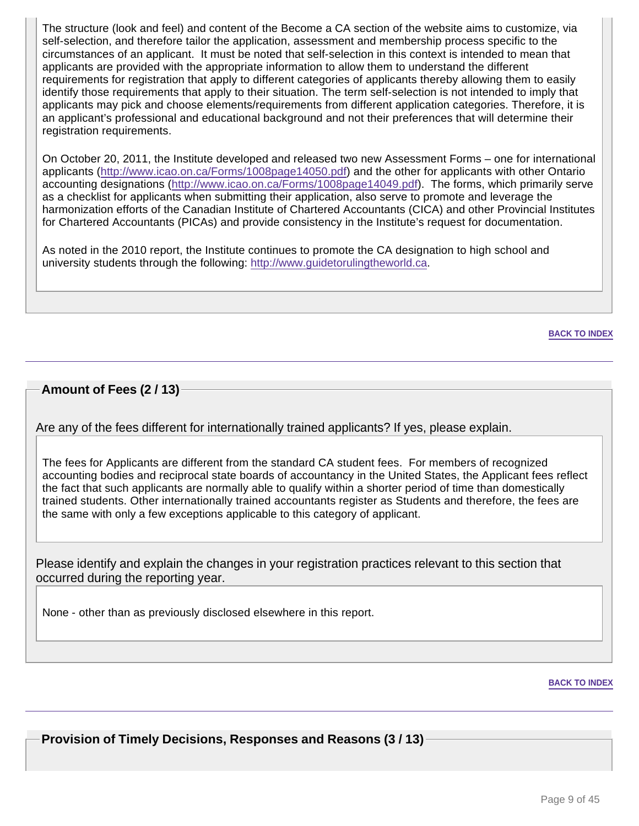The structure (look and feel) and content of the Become a CA section of the website aims to customize, via self-selection, and therefore tailor the application, assessment and membership process specific to the circumstances of an applicant. It must be noted that self-selection in this context is intended to mean that applicants are provided with the appropriate information to allow them to understand the different requirements for registration that apply to different categories of applicants thereby allowing them to easily identify those requirements that apply to their situation. The term self-selection is not intended to imply that applicants may pick and choose elements/requirements from different application categories. Therefore, it is an applicant's professional and educational background and not their preferences that will determine their registration requirements.

On October 20, 2011, the Institute developed and released two new Assessment Forms – one for international applicants (http://www.icao.on.ca/Forms/1008page14050.pdf) and the other for applicants with other Ontario accounting designations (http://www.icao.on.ca/Forms/1008page14049.pdf). The forms, which primarily serve as a checklist for applicants when submitting their application, also serve to promote and leverage the harmonization efforts of the Canadian Institute of Chartered Accountants (CICA) and other Provincial Institutes for Chartered Accountants (PICAs) and provide consistency in the Institute's request for documentation.

As noted in the 2010 report, the Institute continues to promote the CA designation to high school and university students through the following: http://www.guidetorulingtheworld.ca.

**BACK TO INDEX**

# **Amount of Fees (2 / 13)**

Are any of the fees different for internationally trained applicants? If yes, please explain.

The fees for Applicants are different from the standard CA student fees. For members of recognized accounting bodies and reciprocal state boards of accountancy in the United States, the Applicant fees reflect the fact that such applicants are normally able to qualify within a shorter period of time than domestically trained students. Other internationally trained accountants register as Students and therefore, the fees are the same with only a few exceptions applicable to this category of applicant.

Please identify and explain the changes in your registration practices relevant to this section that occurred during the reporting year.

None - other than as previously disclosed elsewhere in this report.

#### **BACK TO INDEX**

**Provision of Timely Decisions, Responses and Reasons (3 / 13)**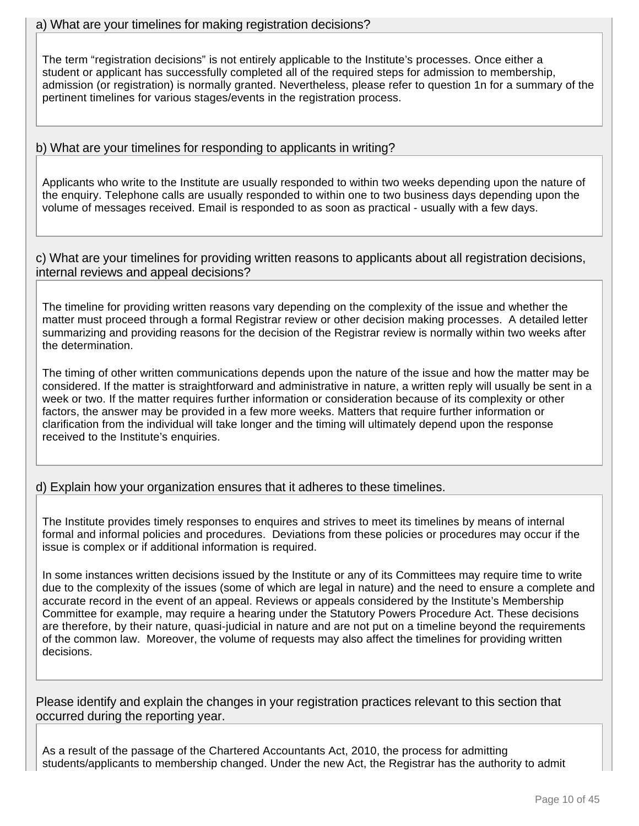The term "registration decisions" is not entirely applicable to the Institute's processes. Once either a student or applicant has successfully completed all of the required steps for admission to membership, admission (or registration) is normally granted. Nevertheless, please refer to question 1n for a summary of the pertinent timelines for various stages/events in the registration process.

# b) What are your timelines for responding to applicants in writing?

Applicants who write to the Institute are usually responded to within two weeks depending upon the nature of the enquiry. Telephone calls are usually responded to within one to two business days depending upon the volume of messages received. Email is responded to as soon as practical - usually with a few days.

c) What are your timelines for providing written reasons to applicants about all registration decisions, internal reviews and appeal decisions?

The timeline for providing written reasons vary depending on the complexity of the issue and whether the matter must proceed through a formal Registrar review or other decision making processes. A detailed letter summarizing and providing reasons for the decision of the Registrar review is normally within two weeks after the determination.

The timing of other written communications depends upon the nature of the issue and how the matter may be considered. If the matter is straightforward and administrative in nature, a written reply will usually be sent in a week or two. If the matter requires further information or consideration because of its complexity or other factors, the answer may be provided in a few more weeks. Matters that require further information or clarification from the individual will take longer and the timing will ultimately depend upon the response received to the Institute's enquiries.

# d) Explain how your organization ensures that it adheres to these timelines.

The Institute provides timely responses to enquires and strives to meet its timelines by means of internal formal and informal policies and procedures. Deviations from these policies or procedures may occur if the issue is complex or if additional information is required.

In some instances written decisions issued by the Institute or any of its Committees may require time to write due to the complexity of the issues (some of which are legal in nature) and the need to ensure a complete and accurate record in the event of an appeal. Reviews or appeals considered by the Institute's Membership Committee for example, may require a hearing under the Statutory Powers Procedure Act. These decisions are therefore, by their nature, quasi-judicial in nature and are not put on a timeline beyond the requirements of the common law. Moreover, the volume of requests may also affect the timelines for providing written decisions.

Please identify and explain the changes in your registration practices relevant to this section that occurred during the reporting year.

As a result of the passage of the Chartered Accountants Act, 2010, the process for admitting students/applicants to membership changed. Under the new Act, the Registrar has the authority to admit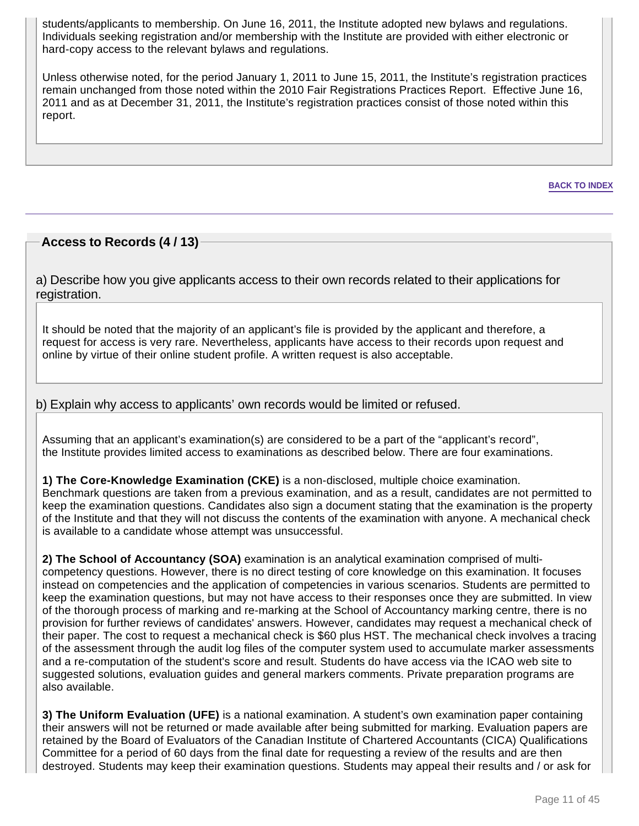students/applicants to membership. On June 16, 2011, the Institute adopted new bylaws and regulations. Individuals seeking registration and/or membership with the Institute are provided with either electronic or hard-copy access to the relevant bylaws and regulations.

Unless otherwise noted, for the period January 1, 2011 to June 15, 2011, the Institute's registration practices remain unchanged from those noted within the 2010 Fair Registrations Practices Report. Effective June 16, 2011 and as at December 31, 2011, the Institute's registration practices consist of those noted within this report.

**BACK TO INDEX**

# **Access to Records (4 / 13)**

a) Describe how you give applicants access to their own records related to their applications for registration.

It should be noted that the majority of an applicant's file is provided by the applicant and therefore, a request for access is very rare. Nevertheless, applicants have access to their records upon request and online by virtue of their online student profile. A written request is also acceptable.

### b) Explain why access to applicants' own records would be limited or refused.

Assuming that an applicant's examination(s) are considered to be a part of the "applicant's record", the Institute provides limited access to examinations as described below. There are four examinations.

**1) The Core-Knowledge Examination (CKE)** is a non-disclosed, multiple choice examination. Benchmark questions are taken from a previous examination, and as a result, candidates are not permitted to keep the examination questions. Candidates also sign a document stating that the examination is the property of the Institute and that they will not discuss the contents of the examination with anyone. A mechanical check is available to a candidate whose attempt was unsuccessful.

**2) The School of Accountancy (SOA)** examination is an analytical examination comprised of multicompetency questions. However, there is no direct testing of core knowledge on this examination. It focuses instead on competencies and the application of competencies in various scenarios. Students are permitted to keep the examination questions, but may not have access to their responses once they are submitted. In view of the thorough process of marking and re-marking at the School of Accountancy marking centre, there is no provision for further reviews of candidates' answers. However, candidates may request a mechanical check of their paper. The cost to request a mechanical check is \$60 plus HST. The mechanical check involves a tracing of the assessment through the audit log files of the computer system used to accumulate marker assessments and a re-computation of the student's score and result. Students do have access via the ICAO web site to suggested solutions, evaluation guides and general markers comments. Private preparation programs are also available.

**3) The Uniform Evaluation (UFE)** is a national examination. A student's own examination paper containing their answers will not be returned or made available after being submitted for marking. Evaluation papers are retained by the Board of Evaluators of the Canadian Institute of Chartered Accountants (CICA) Qualifications Committee for a period of 60 days from the final date for requesting a review of the results and are then destroyed. Students may keep their examination questions. Students may appeal their results and / or ask for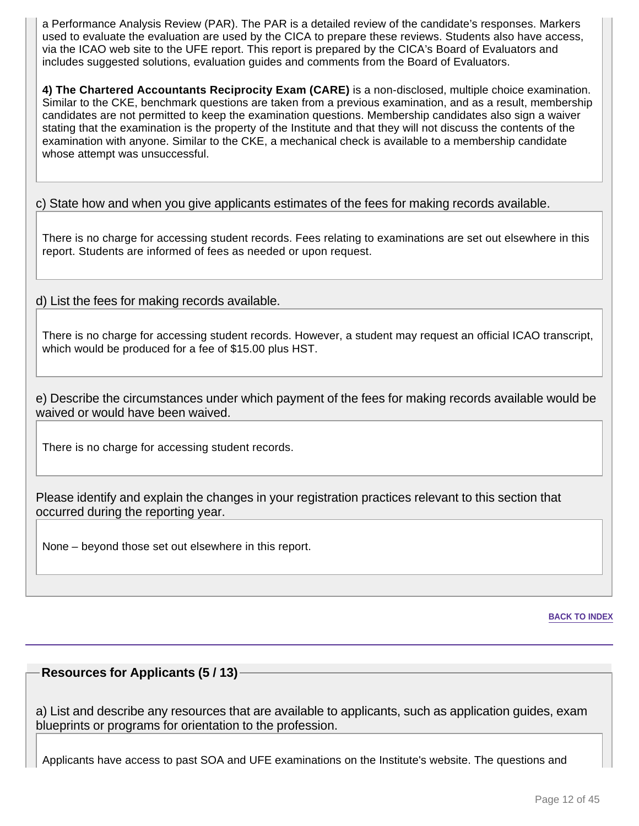a Performance Analysis Review (PAR). The PAR is a detailed review of the candidate's responses. Markers used to evaluate the evaluation are used by the CICA to prepare these reviews. Students also have access, via the ICAO web site to the UFE report. This report is prepared by the CICA's Board of Evaluators and includes suggested solutions, evaluation guides and comments from the Board of Evaluators.

**4) The Chartered Accountants Reciprocity Exam (CARE)** is a non-disclosed, multiple choice examination. Similar to the CKE, benchmark questions are taken from a previous examination, and as a result, membership candidates are not permitted to keep the examination questions. Membership candidates also sign a waiver stating that the examination is the property of the Institute and that they will not discuss the contents of the examination with anyone. Similar to the CKE, a mechanical check is available to a membership candidate whose attempt was unsuccessful.

c) State how and when you give applicants estimates of the fees for making records available.

There is no charge for accessing student records. Fees relating to examinations are set out elsewhere in this report. Students are informed of fees as needed or upon request.

d) List the fees for making records available.

There is no charge for accessing student records. However, a student may request an official ICAO transcript, which would be produced for a fee of \$15.00 plus HST.

e) Describe the circumstances under which payment of the fees for making records available would be waived or would have been waived.

There is no charge for accessing student records.

Please identify and explain the changes in your registration practices relevant to this section that occurred during the reporting year.

None – beyond those set out elsewhere in this report.

**BACK TO INDEX**

# **Resources for Applicants (5 / 13)**

a) List and describe any resources that are available to applicants, such as application guides, exam blueprints or programs for orientation to the profession.

Applicants have access to past SOA and UFE examinations on the Institute's website. The questions and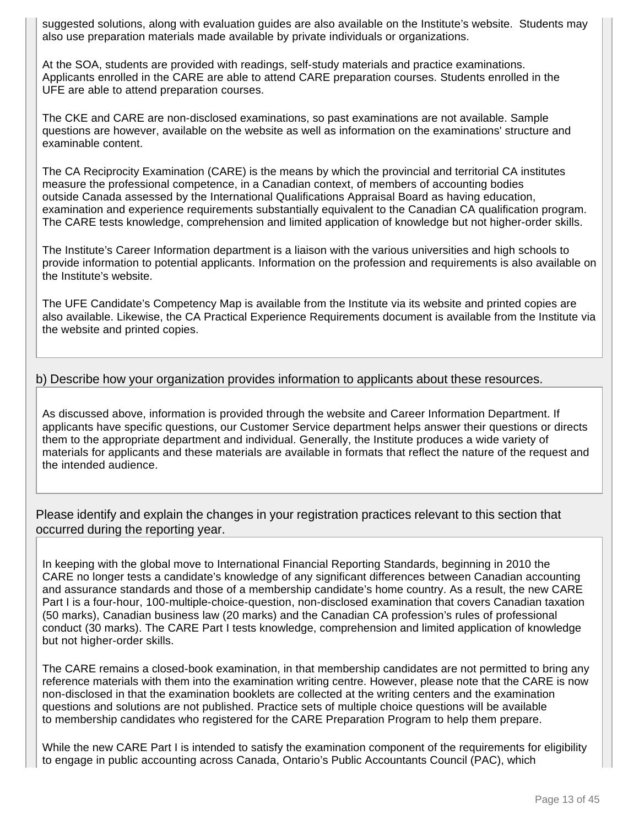suggested solutions, along with evaluation guides are also available on the Institute's website. Students may also use preparation materials made available by private individuals or organizations.

At the SOA, students are provided with readings, self-study materials and practice examinations. Applicants enrolled in the CARE are able to attend CARE preparation courses. Students enrolled in the UFE are able to attend preparation courses.

The CKE and CARE are non-disclosed examinations, so past examinations are not available. Sample questions are however, available on the website as well as information on the examinations' structure and examinable content.

The CA Reciprocity Examination (CARE) is the means by which the provincial and territorial CA institutes measure the professional competence, in a Canadian context, of members of accounting bodies outside Canada assessed by the International Qualifications Appraisal Board as having education, examination and experience requirements substantially equivalent to the Canadian CA qualification program. The CARE tests knowledge, comprehension and limited application of knowledge but not higher-order skills.

The Institute's Career Information department is a liaison with the various universities and high schools to provide information to potential applicants. Information on the profession and requirements is also available on the Institute's website.

The UFE Candidate's Competency Map is available from the Institute via its website and printed copies are also available. Likewise, the CA Practical Experience Requirements document is available from the Institute via the website and printed copies.

# b) Describe how your organization provides information to applicants about these resources.

As discussed above, information is provided through the website and Career Information Department. If applicants have specific questions, our Customer Service department helps answer their questions or directs them to the appropriate department and individual. Generally, the Institute produces a wide variety of materials for applicants and these materials are available in formats that reflect the nature of the request and the intended audience.

Please identify and explain the changes in your registration practices relevant to this section that occurred during the reporting year.

In keeping with the global move to International Financial Reporting Standards, beginning in 2010 the CARE no longer tests a candidate's knowledge of any significant differences between Canadian accounting and assurance standards and those of a membership candidate's home country. As a result, the new CARE Part I is a four-hour, 100-multiple-choice-question, non-disclosed examination that covers Canadian taxation (50 marks), Canadian business law (20 marks) and the Canadian CA profession's rules of professional conduct (30 marks). The CARE Part I tests knowledge, comprehension and limited application of knowledge but not higher-order skills.

The CARE remains a closed-book examination, in that membership candidates are not permitted to bring any reference materials with them into the examination writing centre. However, please note that the CARE is now non-disclosed in that the examination booklets are collected at the writing centers and the examination questions and solutions are not published. Practice sets of multiple choice questions will be available to membership candidates who registered for the CARE Preparation Program to help them prepare.

While the new CARE Part I is intended to satisfy the examination component of the requirements for eligibility to engage in public accounting across Canada, Ontario's Public Accountants Council (PAC), which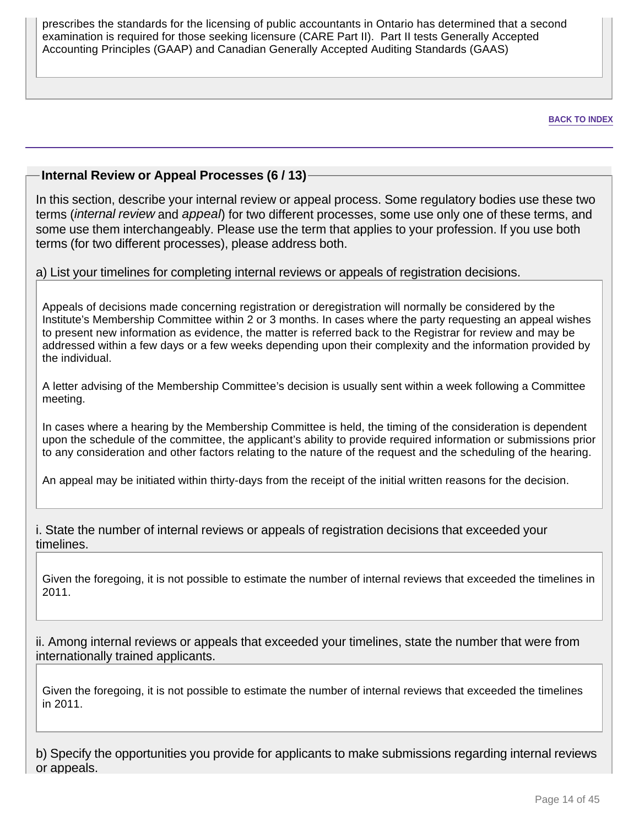prescribes the standards for the licensing of public accountants in Ontario has determined that a second examination is required for those seeking licensure (CARE Part II). Part II tests Generally Accepted Accounting Principles (GAAP) and Canadian Generally Accepted Auditing Standards (GAAS)

**BACK TO INDEX**

# **Internal Review or Appeal Processes (6 / 13)**

In this section, describe your internal review or appeal process. Some regulatory bodies use these two terms (*internal review* and appeal) for two different processes, some use only one of these terms, and some use them interchangeably. Please use the term that applies to your profession. If you use both terms (for two different processes), please address both.

# a) List your timelines for completing internal reviews or appeals of registration decisions.

Appeals of decisions made concerning registration or deregistration will normally be considered by the Institute's Membership Committee within 2 or 3 months. In cases where the party requesting an appeal wishes to present new information as evidence, the matter is referred back to the Registrar for review and may be addressed within a few days or a few weeks depending upon their complexity and the information provided by the individual.

A letter advising of the Membership Committee's decision is usually sent within a week following a Committee meeting.

In cases where a hearing by the Membership Committee is held, the timing of the consideration is dependent upon the schedule of the committee, the applicant's ability to provide required information or submissions prior to any consideration and other factors relating to the nature of the request and the scheduling of the hearing.

An appeal may be initiated within thirty-days from the receipt of the initial written reasons for the decision.

i. State the number of internal reviews or appeals of registration decisions that exceeded your timelines.

Given the foregoing, it is not possible to estimate the number of internal reviews that exceeded the timelines in 2011.

ii. Among internal reviews or appeals that exceeded your timelines, state the number that were from internationally trained applicants.

Given the foregoing, it is not possible to estimate the number of internal reviews that exceeded the timelines in 2011.

b) Specify the opportunities you provide for applicants to make submissions regarding internal reviews or appeals.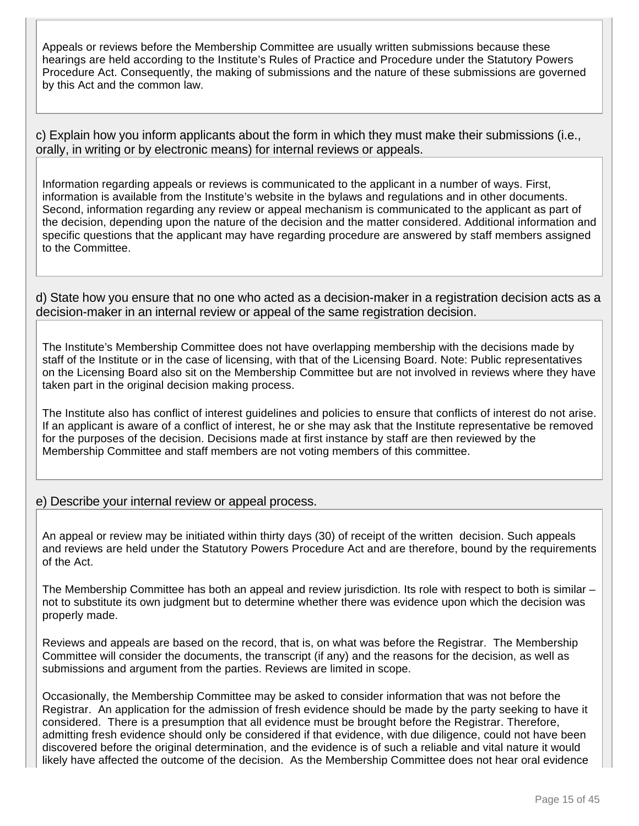Appeals or reviews before the Membership Committee are usually written submissions because these hearings are held according to the Institute's Rules of Practice and Procedure under the Statutory Powers Procedure Act. Consequently, the making of submissions and the nature of these submissions are governed by this Act and the common law.

c) Explain how you inform applicants about the form in which they must make their submissions (i.e., orally, in writing or by electronic means) for internal reviews or appeals.

Information regarding appeals or reviews is communicated to the applicant in a number of ways. First, information is available from the Institute's website in the bylaws and regulations and in other documents. Second, information regarding any review or appeal mechanism is communicated to the applicant as part of the decision, depending upon the nature of the decision and the matter considered. Additional information and specific questions that the applicant may have regarding procedure are answered by staff members assigned to the Committee.

d) State how you ensure that no one who acted as a decision-maker in a registration decision acts as a decision-maker in an internal review or appeal of the same registration decision.

The Institute's Membership Committee does not have overlapping membership with the decisions made by staff of the Institute or in the case of licensing, with that of the Licensing Board. Note: Public representatives on the Licensing Board also sit on the Membership Committee but are not involved in reviews where they have taken part in the original decision making process.

The Institute also has conflict of interest guidelines and policies to ensure that conflicts of interest do not arise. If an applicant is aware of a conflict of interest, he or she may ask that the Institute representative be removed for the purposes of the decision. Decisions made at first instance by staff are then reviewed by the Membership Committee and staff members are not voting members of this committee.

# e) Describe your internal review or appeal process.

An appeal or review may be initiated within thirty days (30) of receipt of the written decision. Such appeals and reviews are held under the Statutory Powers Procedure Act and are therefore, bound by the requirements of the Act.

The Membership Committee has both an appeal and review jurisdiction. Its role with respect to both is similar – not to substitute its own judgment but to determine whether there was evidence upon which the decision was properly made.

Reviews and appeals are based on the record, that is, on what was before the Registrar. The Membership Committee will consider the documents, the transcript (if any) and the reasons for the decision, as well as submissions and argument from the parties. Reviews are limited in scope.

Occasionally, the Membership Committee may be asked to consider information that was not before the Registrar. An application for the admission of fresh evidence should be made by the party seeking to have it considered. There is a presumption that all evidence must be brought before the Registrar. Therefore, admitting fresh evidence should only be considered if that evidence, with due diligence, could not have been discovered before the original determination, and the evidence is of such a reliable and vital nature it would likely have affected the outcome of the decision. As the Membership Committee does not hear oral evidence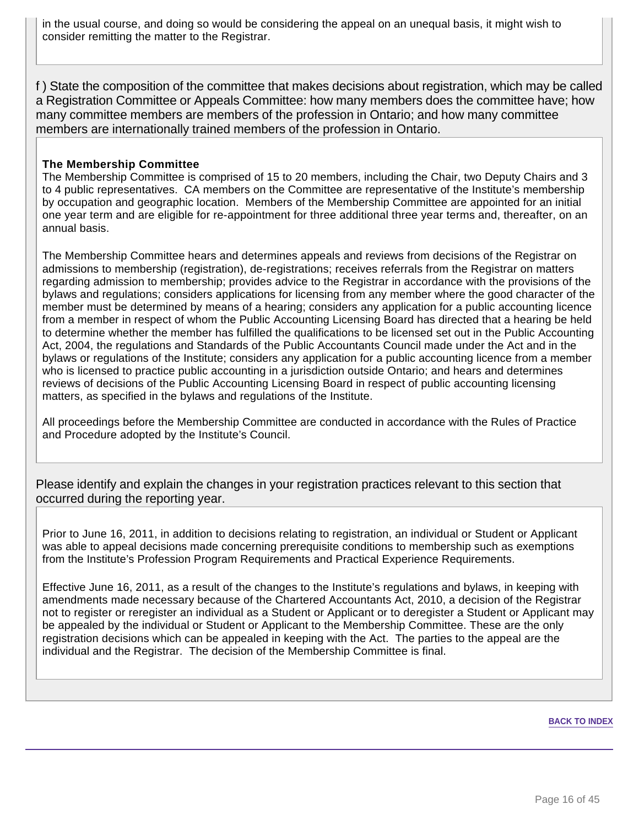in the usual course, and doing so would be considering the appeal on an unequal basis, it might wish to consider remitting the matter to the Registrar.

f ) State the composition of the committee that makes decisions about registration, which may be called a Registration Committee or Appeals Committee: how many members does the committee have; how many committee members are members of the profession in Ontario; and how many committee members are internationally trained members of the profession in Ontario.

### **The Membership Committee**

The Membership Committee is comprised of 15 to 20 members, including the Chair, two Deputy Chairs and 3 to 4 public representatives. CA members on the Committee are representative of the Institute's membership by occupation and geographic location. Members of the Membership Committee are appointed for an initial one year term and are eligible for re-appointment for three additional three year terms and, thereafter, on an annual basis.

The Membership Committee hears and determines appeals and reviews from decisions of the Registrar on admissions to membership (registration), de-registrations; receives referrals from the Registrar on matters regarding admission to membership; provides advice to the Registrar in accordance with the provisions of the bylaws and regulations; considers applications for licensing from any member where the good character of the member must be determined by means of a hearing; considers any application for a public accounting licence from a member in respect of whom the Public Accounting Licensing Board has directed that a hearing be held to determine whether the member has fulfilled the qualifications to be licensed set out in the Public Accounting Act, 2004, the regulations and Standards of the Public Accountants Council made under the Act and in the bylaws or regulations of the Institute; considers any application for a public accounting licence from a member who is licensed to practice public accounting in a jurisdiction outside Ontario; and hears and determines reviews of decisions of the Public Accounting Licensing Board in respect of public accounting licensing matters, as specified in the bylaws and regulations of the Institute.

All proceedings before the Membership Committee are conducted in accordance with the Rules of Practice and Procedure adopted by the Institute's Council.

Please identify and explain the changes in your registration practices relevant to this section that occurred during the reporting year.

Prior to June 16, 2011, in addition to decisions relating to registration, an individual or Student or Applicant was able to appeal decisions made concerning prerequisite conditions to membership such as exemptions from the Institute's Profession Program Requirements and Practical Experience Requirements.

Effective June 16, 2011, as a result of the changes to the Institute's regulations and bylaws, in keeping with amendments made necessary because of the Chartered Accountants Act, 2010, a decision of the Registrar not to register or reregister an individual as a Student or Applicant or to deregister a Student or Applicant may be appealed by the individual or Student or Applicant to the Membership Committee. These are the only registration decisions which can be appealed in keeping with the Act. The parties to the appeal are the individual and the Registrar. The decision of the Membership Committee is final.

#### **BACK TO INDEX**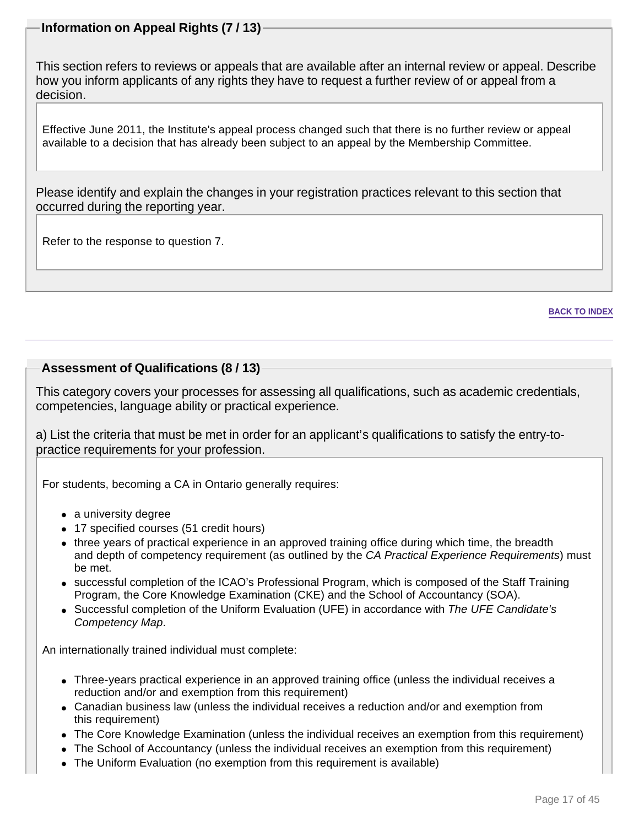# **Information on Appeal Rights (7 / 13)**

This section refers to reviews or appeals that are available after an internal review or appeal. Describe how you inform applicants of any rights they have to request a further review of or appeal from a decision.

Effective June 2011, the Institute's appeal process changed such that there is no further review or appeal available to a decision that has already been subject to an appeal by the Membership Committee.

Please identify and explain the changes in your registration practices relevant to this section that occurred during the reporting year.

Refer to the response to question 7.

#### **BACK TO INDEX**

# **Assessment of Qualifications (8 / 13)**

This category covers your processes for assessing all qualifications, such as academic credentials, competencies, language ability or practical experience.

a) List the criteria that must be met in order for an applicant's qualifications to satisfy the entry-topractice requirements for your profession.

For students, becoming a CA in Ontario generally requires:

- a university degree
- 17 specified courses (51 credit hours)
- three years of practical experience in an approved training office during which time, the breadth and depth of competency requirement (as outlined by the CA Practical Experience Requirements) must be met.
- successful completion of the ICAO's Professional Program, which is composed of the Staff Training Program, the Core Knowledge Examination (CKE) and the School of Accountancy (SOA).
- Successful completion of the Uniform Evaluation (UFE) in accordance with The UFE Candidate's Competency Map.

An internationally trained individual must complete:

- Three-years practical experience in an approved training office (unless the individual receives a reduction and/or and exemption from this requirement)
- Canadian business law (unless the individual receives a reduction and/or and exemption from this requirement)
- The Core Knowledge Examination (unless the individual receives an exemption from this requirement)
- The School of Accountancy (unless the individual receives an exemption from this requirement)
- The Uniform Evaluation (no exemption from this requirement is available)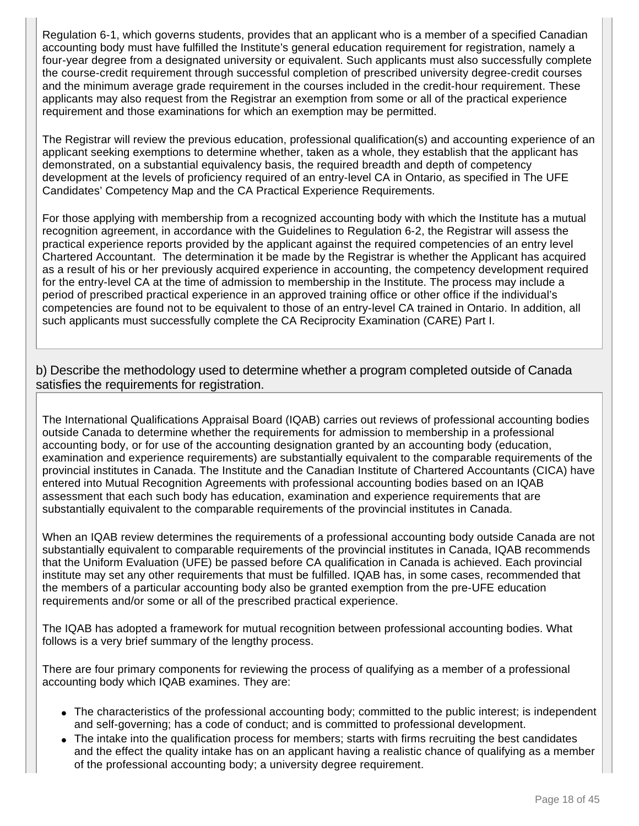Regulation 6-1, which governs students, provides that an applicant who is a member of a specified Canadian accounting body must have fulfilled the Institute's general education requirement for registration, namely a four-year degree from a designated university or equivalent. Such applicants must also successfully complete the course-credit requirement through successful completion of prescribed university degree-credit courses and the minimum average grade requirement in the courses included in the credit-hour requirement. These applicants may also request from the Registrar an exemption from some or all of the practical experience requirement and those examinations for which an exemption may be permitted.

The Registrar will review the previous education, professional qualification(s) and accounting experience of an applicant seeking exemptions to determine whether, taken as a whole, they establish that the applicant has demonstrated, on a substantial equivalency basis, the required breadth and depth of competency development at the levels of proficiency required of an entry-level CA in Ontario, as specified in The UFE Candidates' Competency Map and the CA Practical Experience Requirements.

For those applying with membership from a recognized accounting body with which the Institute has a mutual recognition agreement, in accordance with the Guidelines to Regulation 6-2, the Registrar will assess the practical experience reports provided by the applicant against the required competencies of an entry level Chartered Accountant. The determination it be made by the Registrar is whether the Applicant has acquired as a result of his or her previously acquired experience in accounting, the competency development required for the entry-level CA at the time of admission to membership in the Institute. The process may include a period of prescribed practical experience in an approved training office or other office if the individual's competencies are found not to be equivalent to those of an entry-level CA trained in Ontario. In addition, all such applicants must successfully complete the CA Reciprocity Examination (CARE) Part I.

b) Describe the methodology used to determine whether a program completed outside of Canada satisfies the requirements for registration.

The International Qualifications Appraisal Board (IQAB) carries out reviews of professional accounting bodies outside Canada to determine whether the requirements for admission to membership in a professional accounting body, or for use of the accounting designation granted by an accounting body (education, examination and experience requirements) are substantially equivalent to the comparable requirements of the provincial institutes in Canada. The Institute and the Canadian Institute of Chartered Accountants (CICA) have entered into Mutual Recognition Agreements with professional accounting bodies based on an IQAB assessment that each such body has education, examination and experience requirements that are substantially equivalent to the comparable requirements of the provincial institutes in Canada.

When an IQAB review determines the requirements of a professional accounting body outside Canada are not substantially equivalent to comparable requirements of the provincial institutes in Canada, IQAB recommends that the Uniform Evaluation (UFE) be passed before CA qualification in Canada is achieved. Each provincial institute may set any other requirements that must be fulfilled. IQAB has, in some cases, recommended that the members of a particular accounting body also be granted exemption from the pre-UFE education requirements and/or some or all of the prescribed practical experience.

The IQAB has adopted a framework for mutual recognition between professional accounting bodies. What follows is a very brief summary of the lengthy process.

There are four primary components for reviewing the process of qualifying as a member of a professional accounting body which IQAB examines. They are:

- The characteristics of the professional accounting body; committed to the public interest; is independent and self-governing; has a code of conduct; and is committed to professional development.
- The intake into the qualification process for members; starts with firms recruiting the best candidates and the effect the quality intake has on an applicant having a realistic chance of qualifying as a member of the professional accounting body; a university degree requirement.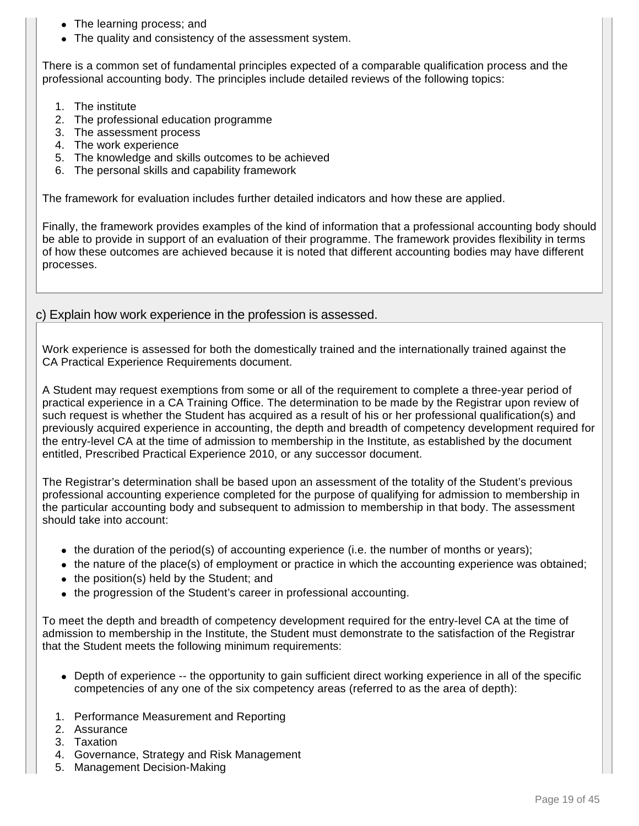- The learning process; and
- The quality and consistency of the assessment system.

There is a common set of fundamental principles expected of a comparable qualification process and the professional accounting body. The principles include detailed reviews of the following topics:

- 1. The institute
- 2. The professional education programme
- 3. The assessment process
- 4. The work experience
- 5. The knowledge and skills outcomes to be achieved
- 6. The personal skills and capability framework

The framework for evaluation includes further detailed indicators and how these are applied.

Finally, the framework provides examples of the kind of information that a professional accounting body should be able to provide in support of an evaluation of their programme. The framework provides flexibility in terms of how these outcomes are achieved because it is noted that different accounting bodies may have different processes.

### c) Explain how work experience in the profession is assessed.

Work experience is assessed for both the domestically trained and the internationally trained against the CA Practical Experience Requirements document.

A Student may request exemptions from some or all of the requirement to complete a three-year period of practical experience in a CA Training Office. The determination to be made by the Registrar upon review of such request is whether the Student has acquired as a result of his or her professional qualification(s) and previously acquired experience in accounting, the depth and breadth of competency development required for the entry-level CA at the time of admission to membership in the Institute, as established by the document entitled, Prescribed Practical Experience 2010, or any successor document.

The Registrar's determination shall be based upon an assessment of the totality of the Student's previous professional accounting experience completed for the purpose of qualifying for admission to membership in the particular accounting body and subsequent to admission to membership in that body. The assessment should take into account:

- the duration of the period(s) of accounting experience (i.e. the number of months or years);
- the nature of the place(s) of employment or practice in which the accounting experience was obtained;
- the position(s) held by the Student; and
- the progression of the Student's career in professional accounting.

To meet the depth and breadth of competency development required for the entry-level CA at the time of admission to membership in the Institute, the Student must demonstrate to the satisfaction of the Registrar that the Student meets the following minimum requirements:

- Depth of experience -- the opportunity to gain sufficient direct working experience in all of the specific competencies of any one of the six competency areas (referred to as the area of depth):
- 1. Performance Measurement and Reporting
- 2. Assurance
- 3. Taxation
- 4. Governance, Strategy and Risk Management
- 5. Management Decision-Making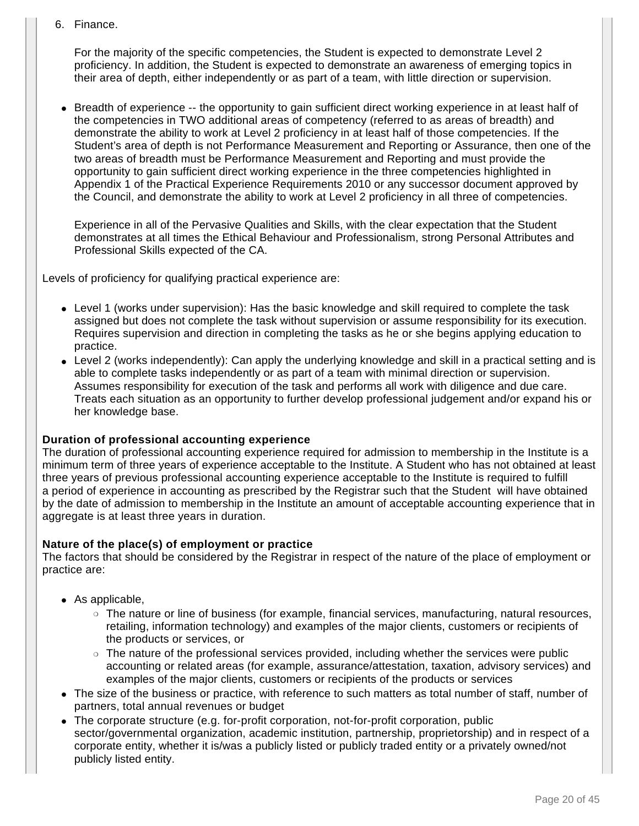6. Finance.

For the majority of the specific competencies, the Student is expected to demonstrate Level 2 proficiency. In addition, the Student is expected to demonstrate an awareness of emerging topics in their area of depth, either independently or as part of a team, with little direction or supervision.

• Breadth of experience -- the opportunity to gain sufficient direct working experience in at least half of the competencies in TWO additional areas of competency (referred to as areas of breadth) and demonstrate the ability to work at Level 2 proficiency in at least half of those competencies. If the Student's area of depth is not Performance Measurement and Reporting or Assurance, then one of the two areas of breadth must be Performance Measurement and Reporting and must provide the opportunity to gain sufficient direct working experience in the three competencies highlighted in Appendix 1 of the Practical Experience Requirements 2010 or any successor document approved by the Council, and demonstrate the ability to work at Level 2 proficiency in all three of competencies.

Experience in all of the Pervasive Qualities and Skills, with the clear expectation that the Student demonstrates at all times the Ethical Behaviour and Professionalism, strong Personal Attributes and Professional Skills expected of the CA.

Levels of proficiency for qualifying practical experience are:

- Level 1 (works under supervision): Has the basic knowledge and skill required to complete the task assigned but does not complete the task without supervision or assume responsibility for its execution. Requires supervision and direction in completing the tasks as he or she begins applying education to practice.
- Level 2 (works independently): Can apply the underlying knowledge and skill in a practical setting and is able to complete tasks independently or as part of a team with minimal direction or supervision. Assumes responsibility for execution of the task and performs all work with diligence and due care. Treats each situation as an opportunity to further develop professional judgement and/or expand his or her knowledge base.

# **Duration of professional accounting experience**

The duration of professional accounting experience required for admission to membership in the Institute is a minimum term of three years of experience acceptable to the Institute. A Student who has not obtained at least three years of previous professional accounting experience acceptable to the Institute is required to fulfill a period of experience in accounting as prescribed by the Registrar such that the Student will have obtained by the date of admission to membership in the Institute an amount of acceptable accounting experience that in aggregate is at least three years in duration.

# **Nature of the place(s) of employment or practice**

The factors that should be considered by the Registrar in respect of the nature of the place of employment or practice are:

- $\bullet$  As applicable,
	- ❍ The nature or line of business (for example, financial services, manufacturing, natural resources, retailing, information technology) and examples of the major clients, customers or recipients of the products or services, or
	- ❍ The nature of the professional services provided, including whether the services were public accounting or related areas (for example, assurance/attestation, taxation, advisory services) and examples of the major clients, customers or recipients of the products or services
- The size of the business or practice, with reference to such matters as total number of staff, number of partners, total annual revenues or budget
- The corporate structure (e.g. for-profit corporation, not-for-profit corporation, public sector/governmental organization, academic institution, partnership, proprietorship) and in respect of a corporate entity, whether it is/was a publicly listed or publicly traded entity or a privately owned/not publicly listed entity.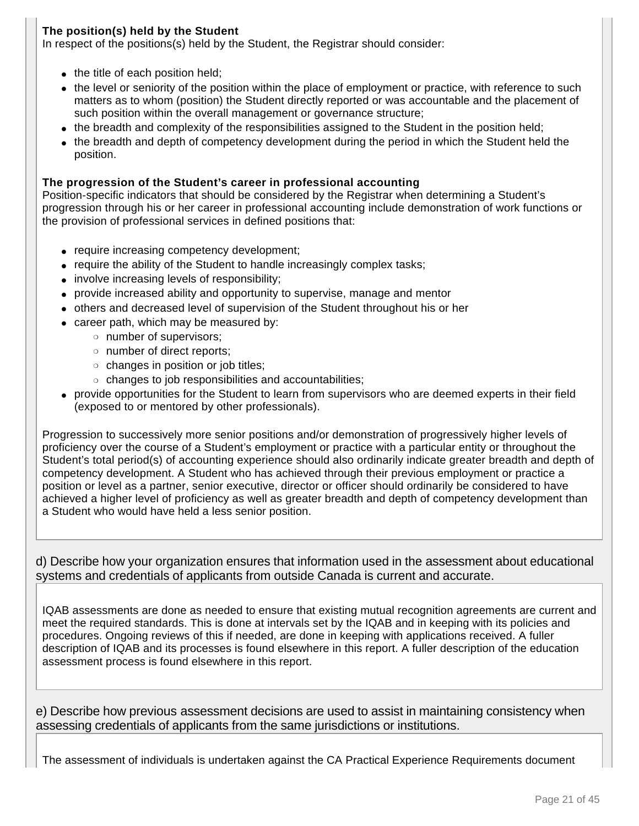# **The position(s) held by the Student**

In respect of the positions(s) held by the Student, the Registrar should consider:

- $\bullet$  the title of each position held;
- the level or seniority of the position within the place of employment or practice, with reference to such matters as to whom (position) the Student directly reported or was accountable and the placement of such position within the overall management or governance structure;
- the breadth and complexity of the responsibilities assigned to the Student in the position held;
- the breadth and depth of competency development during the period in which the Student held the position.

### **The progression of the Student's career in professional accounting**

Position-specific indicators that should be considered by the Registrar when determining a Student's progression through his or her career in professional accounting include demonstration of work functions or the provision of professional services in defined positions that:

- require increasing competency development;
- require the ability of the Student to handle increasingly complex tasks;
- involve increasing levels of responsibility;
- provide increased ability and opportunity to supervise, manage and mentor
- others and decreased level of supervision of the Student throughout his or her
- career path, which may be measured by:
	- ❍ number of supervisors;
	- ❍ number of direct reports;
	- ❍ changes in position or job titles;
	- ❍ changes to job responsibilities and accountabilities;
- provide opportunities for the Student to learn from supervisors who are deemed experts in their field (exposed to or mentored by other professionals).

Progression to successively more senior positions and/or demonstration of progressively higher levels of proficiency over the course of a Student's employment or practice with a particular entity or throughout the Student's total period(s) of accounting experience should also ordinarily indicate greater breadth and depth of competency development. A Student who has achieved through their previous employment or practice a position or level as a partner, senior executive, director or officer should ordinarily be considered to have achieved a higher level of proficiency as well as greater breadth and depth of competency development than a Student who would have held a less senior position.

d) Describe how your organization ensures that information used in the assessment about educational systems and credentials of applicants from outside Canada is current and accurate.

IQAB assessments are done as needed to ensure that existing mutual recognition agreements are current and meet the required standards. This is done at intervals set by the IQAB and in keeping with its policies and procedures. Ongoing reviews of this if needed, are done in keeping with applications received. A fuller description of IQAB and its processes is found elsewhere in this report. A fuller description of the education assessment process is found elsewhere in this report.

e) Describe how previous assessment decisions are used to assist in maintaining consistency when assessing credentials of applicants from the same jurisdictions or institutions.

The assessment of individuals is undertaken against the CA Practical Experience Requirements document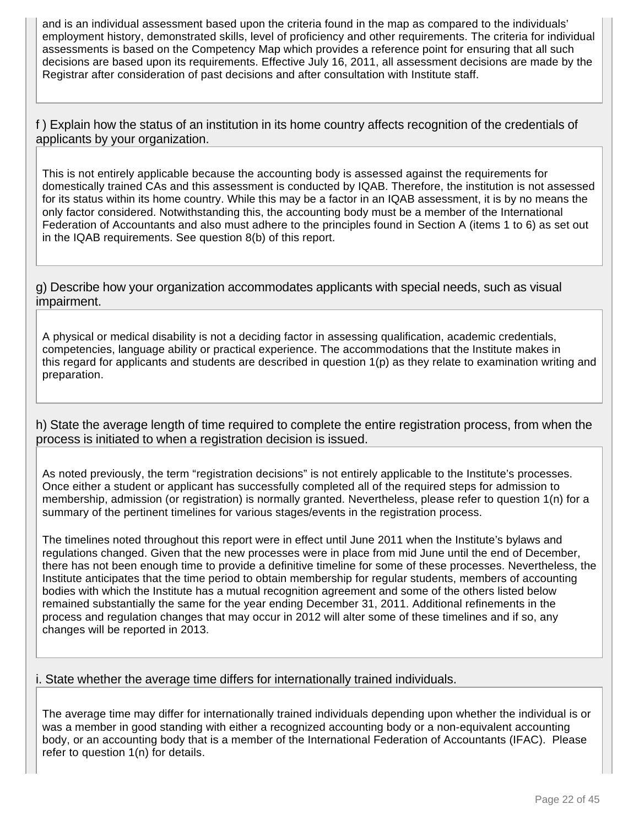and is an individual assessment based upon the criteria found in the map as compared to the individuals' employment history, demonstrated skills, level of proficiency and other requirements. The criteria for individual assessments is based on the Competency Map which provides a reference point for ensuring that all such decisions are based upon its requirements. Effective July 16, 2011, all assessment decisions are made by the Registrar after consideration of past decisions and after consultation with Institute staff.

f ) Explain how the status of an institution in its home country affects recognition of the credentials of applicants by your organization.

This is not entirely applicable because the accounting body is assessed against the requirements for domestically trained CAs and this assessment is conducted by IQAB. Therefore, the institution is not assessed for its status within its home country. While this may be a factor in an IQAB assessment, it is by no means the only factor considered. Notwithstanding this, the accounting body must be a member of the International Federation of Accountants and also must adhere to the principles found in Section A (items 1 to 6) as set out in the IQAB requirements. See question 8(b) of this report.

g) Describe how your organization accommodates applicants with special needs, such as visual impairment.

A physical or medical disability is not a deciding factor in assessing qualification, academic credentials, competencies, language ability or practical experience. The accommodations that the Institute makes in this regard for applicants and students are described in question 1(p) as they relate to examination writing and preparation.

h) State the average length of time required to complete the entire registration process, from when the process is initiated to when a registration decision is issued.

As noted previously, the term "registration decisions" is not entirely applicable to the Institute's processes. Once either a student or applicant has successfully completed all of the required steps for admission to membership, admission (or registration) is normally granted. Nevertheless, please refer to question 1(n) for a summary of the pertinent timelines for various stages/events in the registration process.

The timelines noted throughout this report were in effect until June 2011 when the Institute's bylaws and regulations changed. Given that the new processes were in place from mid June until the end of December, there has not been enough time to provide a definitive timeline for some of these processes. Nevertheless, the Institute anticipates that the time period to obtain membership for regular students, members of accounting bodies with which the Institute has a mutual recognition agreement and some of the others listed below remained substantially the same for the year ending December 31, 2011. Additional refinements in the process and regulation changes that may occur in 2012 will alter some of these timelines and if so, any changes will be reported in 2013.

i. State whether the average time differs for internationally trained individuals.

The average time may differ for internationally trained individuals depending upon whether the individual is or was a member in good standing with either a recognized accounting body or a non-equivalent accounting body, or an accounting body that is a member of the International Federation of Accountants (IFAC). Please refer to question 1(n) for details.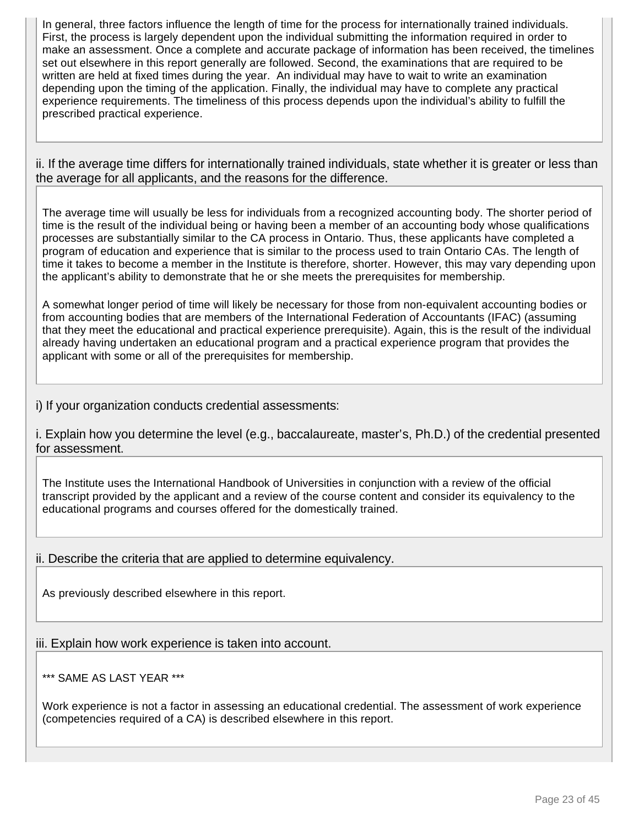In general, three factors influence the length of time for the process for internationally trained individuals. First, the process is largely dependent upon the individual submitting the information required in order to make an assessment. Once a complete and accurate package of information has been received, the timelines set out elsewhere in this report generally are followed. Second, the examinations that are required to be written are held at fixed times during the year. An individual may have to wait to write an examination depending upon the timing of the application. Finally, the individual may have to complete any practical experience requirements. The timeliness of this process depends upon the individual's ability to fulfill the prescribed practical experience.

ii. If the average time differs for internationally trained individuals, state whether it is greater or less than the average for all applicants, and the reasons for the difference.

The average time will usually be less for individuals from a recognized accounting body. The shorter period of time is the result of the individual being or having been a member of an accounting body whose qualifications processes are substantially similar to the CA process in Ontario. Thus, these applicants have completed a program of education and experience that is similar to the process used to train Ontario CAs. The length of time it takes to become a member in the Institute is therefore, shorter. However, this may vary depending upon the applicant's ability to demonstrate that he or she meets the prerequisites for membership.

A somewhat longer period of time will likely be necessary for those from non-equivalent accounting bodies or from accounting bodies that are members of the International Federation of Accountants (IFAC) (assuming that they meet the educational and practical experience prerequisite). Again, this is the result of the individual already having undertaken an educational program and a practical experience program that provides the applicant with some or all of the prerequisites for membership.

i) If your organization conducts credential assessments:

i. Explain how you determine the level (e.g., baccalaureate, master's, Ph.D.) of the credential presented for assessment.

The Institute uses the International Handbook of Universities in conjunction with a review of the official transcript provided by the applicant and a review of the course content and consider its equivalency to the educational programs and courses offered for the domestically trained.

ii. Describe the criteria that are applied to determine equivalency.

As previously described elsewhere in this report.

iii. Explain how work experience is taken into account.

\*\*\* SAME AS LAST YEAR \*\*\*

Work experience is not a factor in assessing an educational credential. The assessment of work experience (competencies required of a CA) is described elsewhere in this report.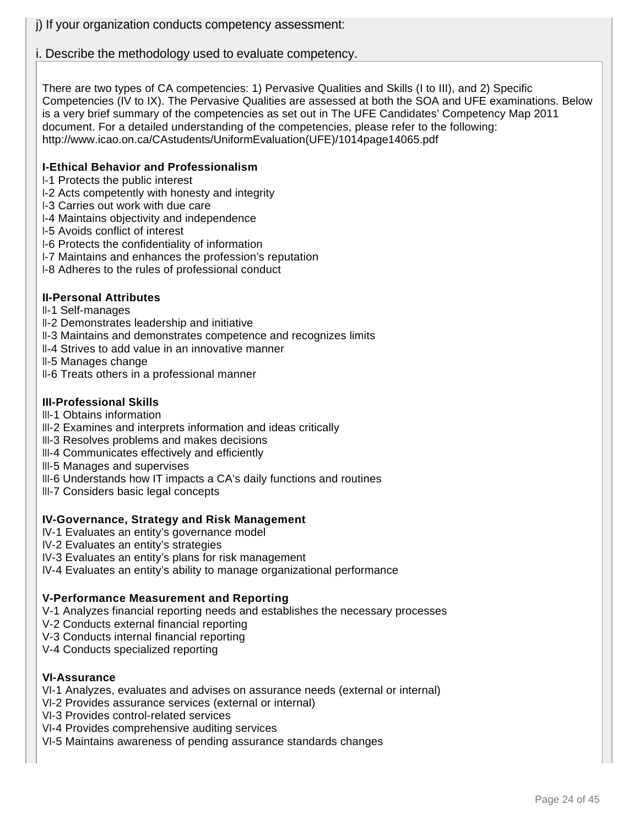# i. Describe the methodology used to evaluate competency.

There are two types of CA competencies: 1) Pervasive Qualities and Skills (I to III), and 2) Specific Competencies (IV to IX). The Pervasive Qualities are assessed at both the SOA and UFE examinations. Below is a very brief summary of the competencies as set out in The UFE Candidates' Competency Map 2011 document. For a detailed understanding of the competencies, please refer to the following: http://www.icao.on.ca/CAstudents/UniformEvaluation(UFE)/1014page14065.pdf

### **I-Ethical Behavior and Professionalism**

- I-1 Protects the public interest
- I-2 Acts competently with honesty and integrity
- I-3 Carries out work with due care
- I-4 Maintains objectivity and independence
- I-5 Avoids conflict of interest
- I-6 Protects the confidentiality of information
- I-7 Maintains and enhances the profession's reputation
- I-8 Adheres to the rules of professional conduct

### **II-Personal Attributes**

- II-1 Self-manages
- II-2 Demonstrates leadership and initiative
- II-3 Maintains and demonstrates competence and recognizes limits
- II-4 Strives to add value in an innovative manner
- II-5 Manages change
- II-6 Treats others in a professional manner

# **III-Professional Skills**

- III-1 Obtains information
- III-2 Examines and interprets information and ideas critically
- III-3 Resolves problems and makes decisions
- III-4 Communicates effectively and efficiently
- III-5 Manages and supervises
- III-6 Understands how IT impacts a CA's daily functions and routines
- III-7 Considers basic legal concepts

# **IV-Governance, Strategy and Risk Management**

- IV-1 Evaluates an entity's governance model
- IV-2 Evaluates an entity's strategies
- IV-3 Evaluates an entity's plans for risk management
- IV-4 Evaluates an entity's ability to manage organizational performance

# **V-Performance Measurement and Reporting**

- V-1 Analyzes financial reporting needs and establishes the necessary processes
- V-2 Conducts external financial reporting
- V-3 Conducts internal financial reporting
- V-4 Conducts specialized reporting

#### **VI-Assurance**

- VI-1 Analyzes, evaluates and advises on assurance needs (external or internal)
- VI-2 Provides assurance services (external or internal)
- VI-3 Provides control-related services
- VI-4 Provides comprehensive auditing services
- VI-5 Maintains awareness of pending assurance standards changes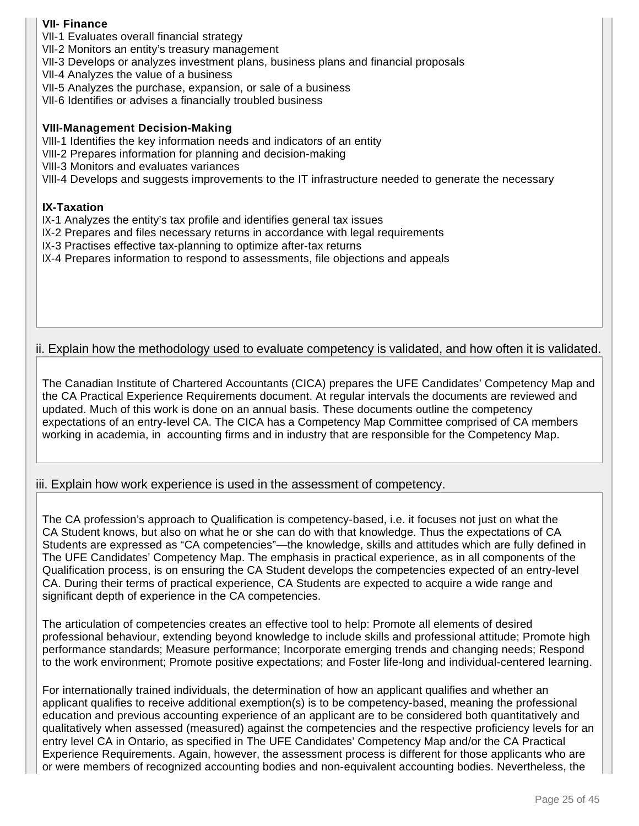# **VII- Finance**

- VII-1 Evaluates overall financial strategy
- VII-2 Monitors an entity's treasury management
- VII-3 Develops or analyzes investment plans, business plans and financial proposals
- VII-4 Analyzes the value of a business
- VII-5 Analyzes the purchase, expansion, or sale of a business
- VII-6 Identifies or advises a financially troubled business

#### **VIII-Management Decision-Making**

- VIII-1 Identifies the key information needs and indicators of an entity
- VIII-2 Prepares information for planning and decision-making
- VIII-3 Monitors and evaluates variances

VIII-4 Develops and suggests improvements to the IT infrastructure needed to generate the necessary

#### **IX-Taxation**

- IX-1 Analyzes the entity's tax profile and identifies general tax issues
- IX-2 Prepares and files necessary returns in accordance with legal requirements
- IX-3 Practises effective tax-planning to optimize after-tax returns
- IX-4 Prepares information to respond to assessments, file objections and appeals

# ii. Explain how the methodology used to evaluate competency is validated, and how often it is validated.

The Canadian Institute of Chartered Accountants (CICA) prepares the UFE Candidates' Competency Map and the CA Practical Experience Requirements document. At regular intervals the documents are reviewed and updated. Much of this work is done on an annual basis. These documents outline the competency expectations of an entry-level CA. The CICA has a Competency Map Committee comprised of CA members working in academia, in accounting firms and in industry that are responsible for the Competency Map.

# iii. Explain how work experience is used in the assessment of competency.

The CA profession's approach to Qualification is competency-based, i.e. it focuses not just on what the CA Student knows, but also on what he or she can do with that knowledge. Thus the expectations of CA Students are expressed as "CA competencies"—the knowledge, skills and attitudes which are fully defined in The UFE Candidates' Competency Map. The emphasis in practical experience, as in all components of the Qualification process, is on ensuring the CA Student develops the competencies expected of an entry-level CA. During their terms of practical experience, CA Students are expected to acquire a wide range and significant depth of experience in the CA competencies.

The articulation of competencies creates an effective tool to help: Promote all elements of desired professional behaviour, extending beyond knowledge to include skills and professional attitude; Promote high performance standards; Measure performance; Incorporate emerging trends and changing needs; Respond to the work environment; Promote positive expectations; and Foster life-long and individual-centered learning.

For internationally trained individuals, the determination of how an applicant qualifies and whether an applicant qualifies to receive additional exemption(s) is to be competency-based, meaning the professional education and previous accounting experience of an applicant are to be considered both quantitatively and qualitatively when assessed (measured) against the competencies and the respective proficiency levels for an entry level CA in Ontario, as specified in The UFE Candidates' Competency Map and/or the CA Practical Experience Requirements. Again, however, the assessment process is different for those applicants who are or were members of recognized accounting bodies and non-equivalent accounting bodies. Nevertheless, the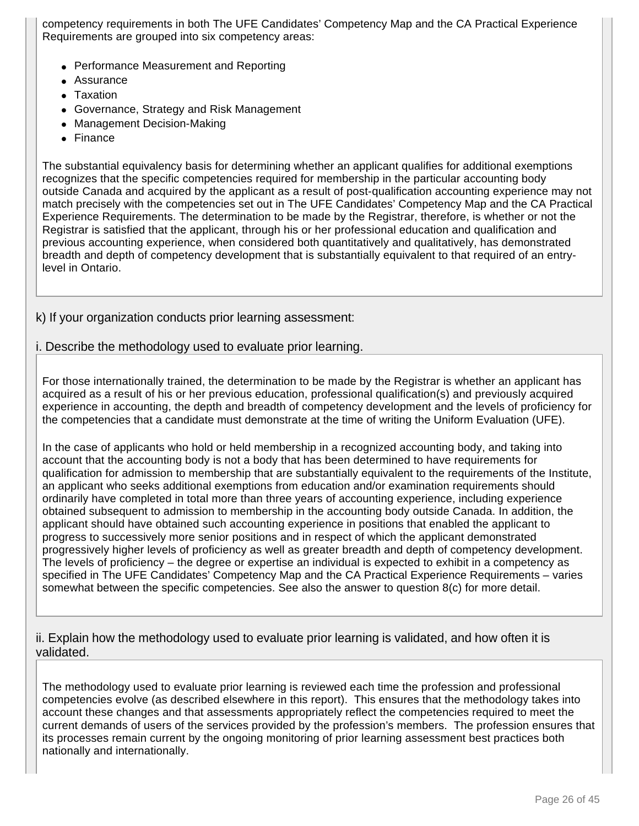competency requirements in both The UFE Candidates' Competency Map and the CA Practical Experience Requirements are grouped into six competency areas:

- Performance Measurement and Reporting
- Assurance
- Taxation
- Governance, Strategy and Risk Management
- Management Decision-Making
- Finance

The substantial equivalency basis for determining whether an applicant qualifies for additional exemptions recognizes that the specific competencies required for membership in the particular accounting body outside Canada and acquired by the applicant as a result of post-qualification accounting experience may not match precisely with the competencies set out in The UFE Candidates' Competency Map and the CA Practical Experience Requirements. The determination to be made by the Registrar, therefore, is whether or not the Registrar is satisfied that the applicant, through his or her professional education and qualification and previous accounting experience, when considered both quantitatively and qualitatively, has demonstrated breadth and depth of competency development that is substantially equivalent to that required of an entrylevel in Ontario.

# k) If your organization conducts prior learning assessment:

### i. Describe the methodology used to evaluate prior learning.

For those internationally trained, the determination to be made by the Registrar is whether an applicant has acquired as a result of his or her previous education, professional qualification(s) and previously acquired experience in accounting, the depth and breadth of competency development and the levels of proficiency for the competencies that a candidate must demonstrate at the time of writing the Uniform Evaluation (UFE).

In the case of applicants who hold or held membership in a recognized accounting body, and taking into account that the accounting body is not a body that has been determined to have requirements for qualification for admission to membership that are substantially equivalent to the requirements of the Institute, an applicant who seeks additional exemptions from education and/or examination requirements should ordinarily have completed in total more than three years of accounting experience, including experience obtained subsequent to admission to membership in the accounting body outside Canada. In addition, the applicant should have obtained such accounting experience in positions that enabled the applicant to progress to successively more senior positions and in respect of which the applicant demonstrated progressively higher levels of proficiency as well as greater breadth and depth of competency development. The levels of proficiency – the degree or expertise an individual is expected to exhibit in a competency as specified in The UFE Candidates' Competency Map and the CA Practical Experience Requirements – varies somewhat between the specific competencies. See also the answer to question 8(c) for more detail.

ii. Explain how the methodology used to evaluate prior learning is validated, and how often it is validated.

The methodology used to evaluate prior learning is reviewed each time the profession and professional competencies evolve (as described elsewhere in this report). This ensures that the methodology takes into account these changes and that assessments appropriately reflect the competencies required to meet the current demands of users of the services provided by the profession's members. The profession ensures that its processes remain current by the ongoing monitoring of prior learning assessment best practices both nationally and internationally.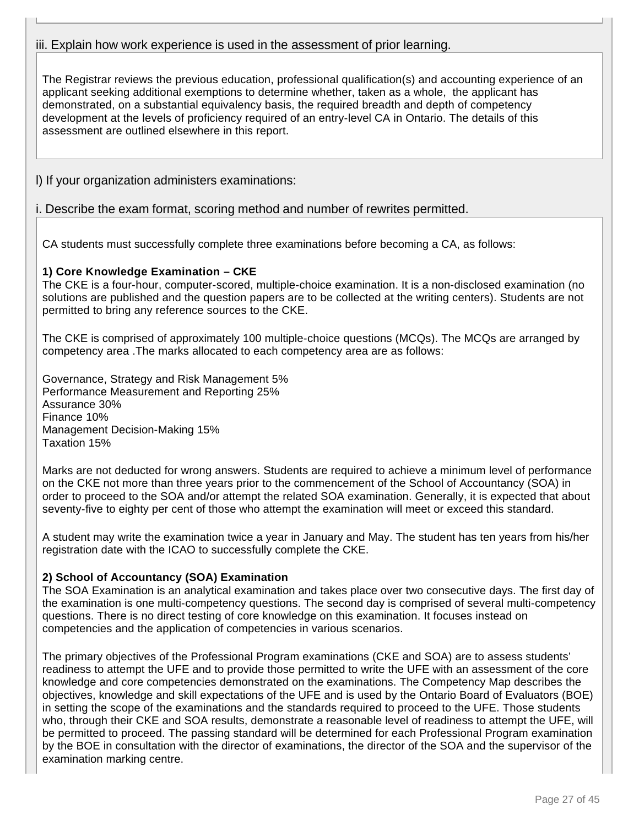# iii. Explain how work experience is used in the assessment of prior learning.

The Registrar reviews the previous education, professional qualification(s) and accounting experience of an applicant seeking additional exemptions to determine whether, taken as a whole, the applicant has demonstrated, on a substantial equivalency basis, the required breadth and depth of competency development at the levels of proficiency required of an entry-level CA in Ontario. The details of this assessment are outlined elsewhere in this report.

l) If your organization administers examinations:

# i. Describe the exam format, scoring method and number of rewrites permitted.

CA students must successfully complete three examinations before becoming a CA, as follows:

# **1) Core Knowledge Examination – CKE**

The CKE is a four-hour, computer-scored, multiple-choice examination. It is a non-disclosed examination (no solutions are published and the question papers are to be collected at the writing centers). Students are not permitted to bring any reference sources to the CKE.

The CKE is comprised of approximately 100 multiple-choice questions (MCQs). The MCQs are arranged by competency area .The marks allocated to each competency area are as follows:

Governance, Strategy and Risk Management 5% Performance Measurement and Reporting 25% Assurance 30% Finance 10% Management Decision-Making 15% Taxation 15%

Marks are not deducted for wrong answers. Students are required to achieve a minimum level of performance on the CKE not more than three years prior to the commencement of the School of Accountancy (SOA) in order to proceed to the SOA and/or attempt the related SOA examination. Generally, it is expected that about seventy-five to eighty per cent of those who attempt the examination will meet or exceed this standard.

A student may write the examination twice a year in January and May. The student has ten years from his/her registration date with the ICAO to successfully complete the CKE.

# **2) School of Accountancy (SOA) Examination**

The SOA Examination is an analytical examination and takes place over two consecutive days. The first day of the examination is one multi-competency questions. The second day is comprised of several multi-competency questions. There is no direct testing of core knowledge on this examination. It focuses instead on competencies and the application of competencies in various scenarios.

The primary objectives of the Professional Program examinations (CKE and SOA) are to assess students' readiness to attempt the UFE and to provide those permitted to write the UFE with an assessment of the core knowledge and core competencies demonstrated on the examinations. The Competency Map describes the objectives, knowledge and skill expectations of the UFE and is used by the Ontario Board of Evaluators (BOE) in setting the scope of the examinations and the standards required to proceed to the UFE. Those students who, through their CKE and SOA results, demonstrate a reasonable level of readiness to attempt the UFE, will be permitted to proceed. The passing standard will be determined for each Professional Program examination by the BOE in consultation with the director of examinations, the director of the SOA and the supervisor of the examination marking centre.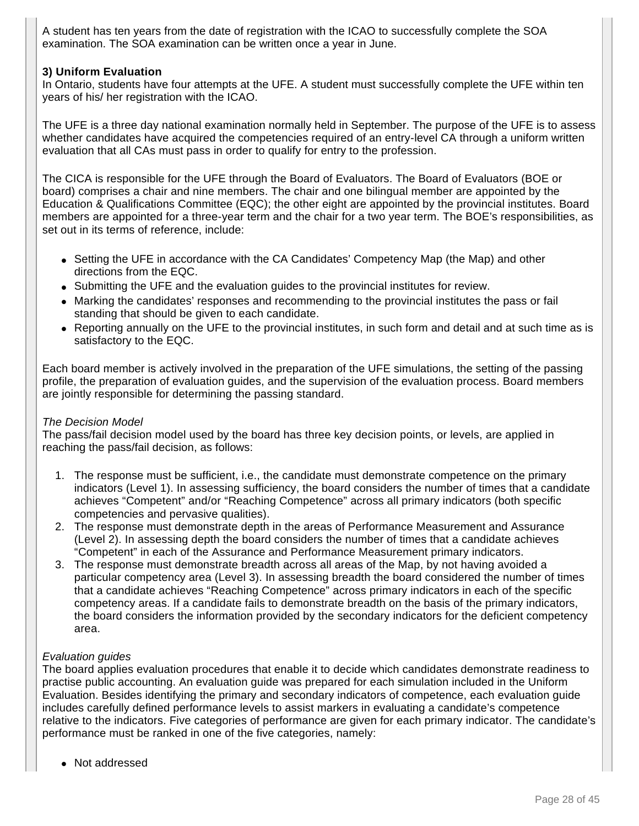A student has ten years from the date of registration with the ICAO to successfully complete the SOA examination. The SOA examination can be written once a year in June.

# **3) Uniform Evaluation**

In Ontario, students have four attempts at the UFE. A student must successfully complete the UFE within ten years of his/ her registration with the ICAO.

The UFE is a three day national examination normally held in September. The purpose of the UFE is to assess whether candidates have acquired the competencies required of an entry-level CA through a uniform written evaluation that all CAs must pass in order to qualify for entry to the profession.

The CICA is responsible for the UFE through the Board of Evaluators. The Board of Evaluators (BOE or board) comprises a chair and nine members. The chair and one bilingual member are appointed by the Education & Qualifications Committee (EQC); the other eight are appointed by the provincial institutes. Board members are appointed for a three-year term and the chair for a two year term. The BOE's responsibilities, as set out in its terms of reference, include:

- Setting the UFE in accordance with the CA Candidates' Competency Map (the Map) and other directions from the EQC.
- Submitting the UFE and the evaluation guides to the provincial institutes for review.
- Marking the candidates' responses and recommending to the provincial institutes the pass or fail standing that should be given to each candidate.
- Reporting annually on the UFE to the provincial institutes, in such form and detail and at such time as is satisfactory to the EQC.

Each board member is actively involved in the preparation of the UFE simulations, the setting of the passing profile, the preparation of evaluation guides, and the supervision of the evaluation process. Board members are jointly responsible for determining the passing standard.

# The Decision Model

The pass/fail decision model used by the board has three key decision points, or levels, are applied in reaching the pass/fail decision, as follows:

- 1. The response must be sufficient, i.e., the candidate must demonstrate competence on the primary indicators (Level 1). In assessing sufficiency, the board considers the number of times that a candidate achieves "Competent" and/or "Reaching Competence" across all primary indicators (both specific competencies and pervasive qualities).
- 2. The response must demonstrate depth in the areas of Performance Measurement and Assurance (Level 2). In assessing depth the board considers the number of times that a candidate achieves "Competent" in each of the Assurance and Performance Measurement primary indicators.
- 3. The response must demonstrate breadth across all areas of the Map, by not having avoided a particular competency area (Level 3). In assessing breadth the board considered the number of times that a candidate achieves "Reaching Competence" across primary indicators in each of the specific competency areas. If a candidate fails to demonstrate breadth on the basis of the primary indicators, the board considers the information provided by the secondary indicators for the deficient competency area.

#### Evaluation guides

The board applies evaluation procedures that enable it to decide which candidates demonstrate readiness to practise public accounting. An evaluation guide was prepared for each simulation included in the Uniform Evaluation. Besides identifying the primary and secondary indicators of competence, each evaluation guide includes carefully defined performance levels to assist markers in evaluating a candidate's competence relative to the indicators. Five categories of performance are given for each primary indicator. The candidate's performance must be ranked in one of the five categories, namely:

● Not addressed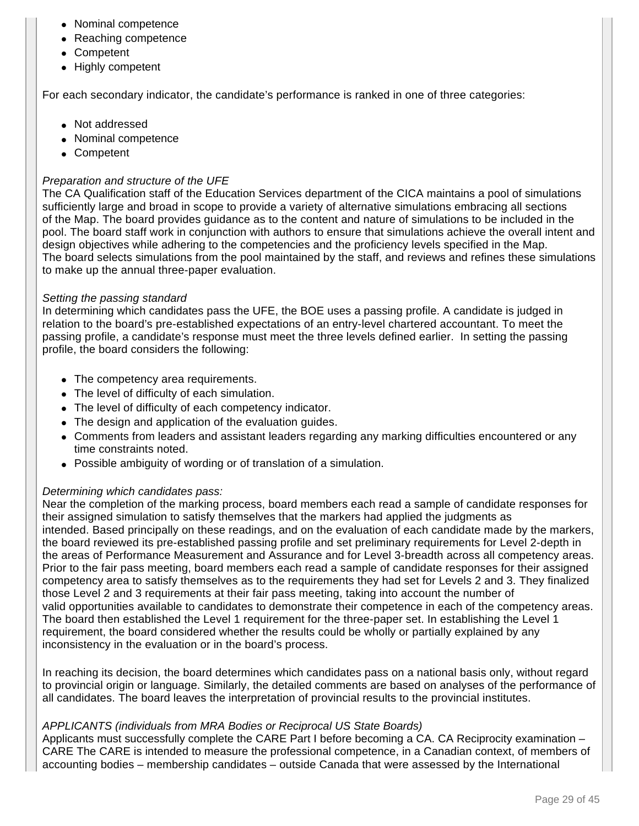- Nominal competence
- Reaching competence
- Competent
- Highly competent

For each secondary indicator, the candidate's performance is ranked in one of three categories:

- Not addressed
- Nominal competence
- Competent

# Preparation and structure of the UFE

The CA Qualification staff of the Education Services department of the CICA maintains a pool of simulations sufficiently large and broad in scope to provide a variety of alternative simulations embracing all sections of the Map. The board provides guidance as to the content and nature of simulations to be included in the pool. The board staff work in conjunction with authors to ensure that simulations achieve the overall intent and design objectives while adhering to the competencies and the proficiency levels specified in the Map. The board selects simulations from the pool maintained by the staff, and reviews and refines these simulations to make up the annual three-paper evaluation.

### Setting the passing standard

In determining which candidates pass the UFE, the BOE uses a passing profile. A candidate is judged in relation to the board's pre-established expectations of an entry-level chartered accountant. To meet the passing profile, a candidate's response must meet the three levels defined earlier. In setting the passing profile, the board considers the following:

- The competency area requirements.
- The level of difficulty of each simulation.
- The level of difficulty of each competency indicator.
- The design and application of the evaluation guides.
- Comments from leaders and assistant leaders regarding any marking difficulties encountered or any time constraints noted.
- Possible ambiguity of wording or of translation of a simulation.

# Determining which candidates pass:

Near the completion of the marking process, board members each read a sample of candidate responses for their assigned simulation to satisfy themselves that the markers had applied the judgments as intended. Based principally on these readings, and on the evaluation of each candidate made by the markers, the board reviewed its pre-established passing profile and set preliminary requirements for Level 2-depth in the areas of Performance Measurement and Assurance and for Level 3-breadth across all competency areas. Prior to the fair pass meeting, board members each read a sample of candidate responses for their assigned competency area to satisfy themselves as to the requirements they had set for Levels 2 and 3. They finalized those Level 2 and 3 requirements at their fair pass meeting, taking into account the number of valid opportunities available to candidates to demonstrate their competence in each of the competency areas. The board then established the Level 1 requirement for the three-paper set. In establishing the Level 1 requirement, the board considered whether the results could be wholly or partially explained by any inconsistency in the evaluation or in the board's process.

In reaching its decision, the board determines which candidates pass on a national basis only, without regard to provincial origin or language. Similarly, the detailed comments are based on analyses of the performance of all candidates. The board leaves the interpretation of provincial results to the provincial institutes.

# APPLICANTS (individuals from MRA Bodies or Reciprocal US State Boards)

Applicants must successfully complete the CARE Part I before becoming a CA. CA Reciprocity examination – CARE The CARE is intended to measure the professional competence, in a Canadian context, of members of accounting bodies – membership candidates – outside Canada that were assessed by the International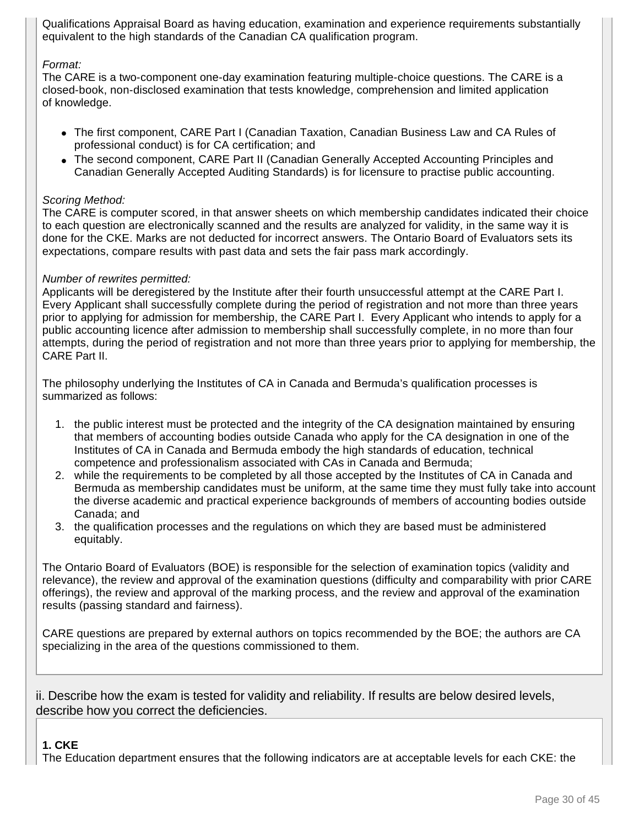Qualifications Appraisal Board as having education, examination and experience requirements substantially equivalent to the high standards of the Canadian CA qualification program.

### Format:

The CARE is a two-component one-day examination featuring multiple-choice questions. The CARE is a closed-book, non-disclosed examination that tests knowledge, comprehension and limited application of knowledge.

- The first component, CARE Part I (Canadian Taxation, Canadian Business Law and CA Rules of professional conduct) is for CA certification; and
- The second component, CARE Part II (Canadian Generally Accepted Accounting Principles and Canadian Generally Accepted Auditing Standards) is for licensure to practise public accounting.

### Scoring Method:

The CARE is computer scored, in that answer sheets on which membership candidates indicated their choice to each question are electronically scanned and the results are analyzed for validity, in the same way it is done for the CKE. Marks are not deducted for incorrect answers. The Ontario Board of Evaluators sets its expectations, compare results with past data and sets the fair pass mark accordingly.

#### Number of rewrites permitted:

Applicants will be deregistered by the Institute after their fourth unsuccessful attempt at the CARE Part I. Every Applicant shall successfully complete during the period of registration and not more than three years prior to applying for admission for membership, the CARE Part I. Every Applicant who intends to apply for a public accounting licence after admission to membership shall successfully complete, in no more than four attempts, during the period of registration and not more than three years prior to applying for membership, the CARE Part II.

The philosophy underlying the Institutes of CA in Canada and Bermuda's qualification processes is summarized as follows:

- 1. the public interest must be protected and the integrity of the CA designation maintained by ensuring that members of accounting bodies outside Canada who apply for the CA designation in one of the Institutes of CA in Canada and Bermuda embody the high standards of education, technical competence and professionalism associated with CAs in Canada and Bermuda;
- 2. while the requirements to be completed by all those accepted by the Institutes of CA in Canada and Bermuda as membership candidates must be uniform, at the same time they must fully take into account the diverse academic and practical experience backgrounds of members of accounting bodies outside Canada; and
- 3. the qualification processes and the regulations on which they are based must be administered equitably.

The Ontario Board of Evaluators (BOE) is responsible for the selection of examination topics (validity and relevance), the review and approval of the examination questions (difficulty and comparability with prior CARE offerings), the review and approval of the marking process, and the review and approval of the examination results (passing standard and fairness).

CARE questions are prepared by external authors on topics recommended by the BOE; the authors are CA specializing in the area of the questions commissioned to them.

ii. Describe how the exam is tested for validity and reliability. If results are below desired levels, describe how you correct the deficiencies.

# **1. CKE**

The Education department ensures that the following indicators are at acceptable levels for each CKE: the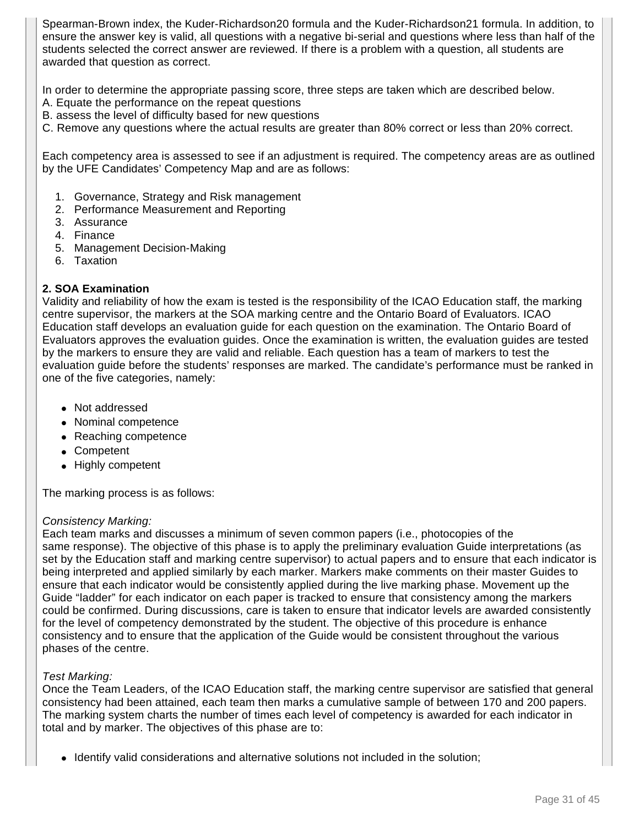Spearman-Brown index, the Kuder-Richardson20 formula and the Kuder-Richardson21 formula. In addition, to ensure the answer key is valid, all questions with a negative bi-serial and questions where less than half of the students selected the correct answer are reviewed. If there is a problem with a question, all students are awarded that question as correct.

In order to determine the appropriate passing score, three steps are taken which are described below.

- A. Equate the performance on the repeat questions
- B. assess the level of difficulty based for new questions
- C. Remove any questions where the actual results are greater than 80% correct or less than 20% correct.

Each competency area is assessed to see if an adjustment is required. The competency areas are as outlined by the UFE Candidates' Competency Map and are as follows:

- 1. Governance, Strategy and Risk management
- 2. Performance Measurement and Reporting
- 3. Assurance
- 4. Finance
- 5. Management Decision-Making
- 6. Taxation

# **2. SOA Examination**

Validity and reliability of how the exam is tested is the responsibility of the ICAO Education staff, the marking centre supervisor, the markers at the SOA marking centre and the Ontario Board of Evaluators. ICAO Education staff develops an evaluation guide for each question on the examination. The Ontario Board of Evaluators approves the evaluation guides. Once the examination is written, the evaluation guides are tested by the markers to ensure they are valid and reliable. Each question has a team of markers to test the evaluation guide before the students' responses are marked. The candidate's performance must be ranked in one of the five categories, namely:

- Not addressed
- Nominal competence
- Reaching competence
- Competent
- Highly competent

The marking process is as follows:

#### Consistency Marking:

Each team marks and discusses a minimum of seven common papers (i.e., photocopies of the same response). The objective of this phase is to apply the preliminary evaluation Guide interpretations (as set by the Education staff and marking centre supervisor) to actual papers and to ensure that each indicator is being interpreted and applied similarly by each marker. Markers make comments on their master Guides to ensure that each indicator would be consistently applied during the live marking phase. Movement up the Guide "ladder" for each indicator on each paper is tracked to ensure that consistency among the markers could be confirmed. During discussions, care is taken to ensure that indicator levels are awarded consistently for the level of competency demonstrated by the student. The objective of this procedure is enhance consistency and to ensure that the application of the Guide would be consistent throughout the various phases of the centre.

# Test Marking:

Once the Team Leaders, of the ICAO Education staff, the marking centre supervisor are satisfied that general consistency had been attained, each team then marks a cumulative sample of between 170 and 200 papers. The marking system charts the number of times each level of competency is awarded for each indicator in total and by marker. The objectives of this phase are to:

• Identify valid considerations and alternative solutions not included in the solution;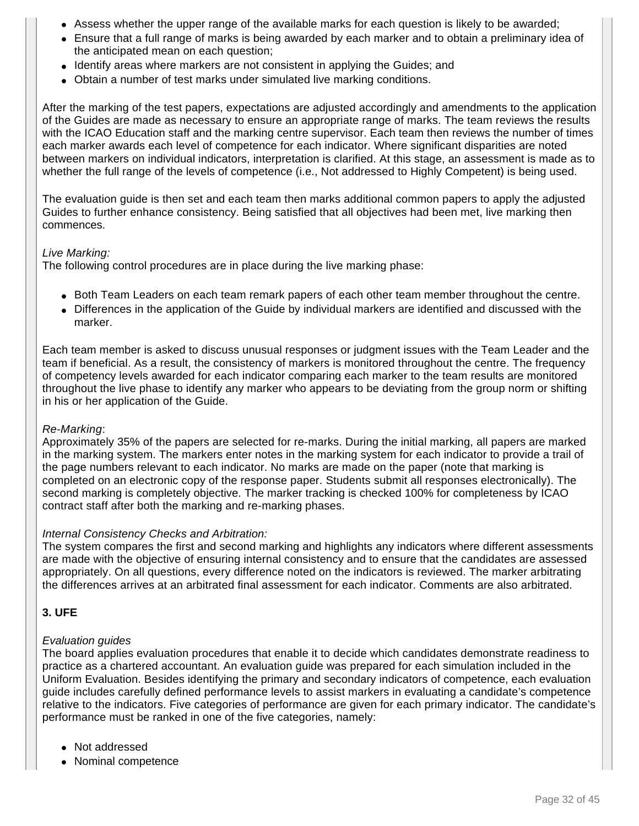- Assess whether the upper range of the available marks for each question is likely to be awarded;
- Ensure that a full range of marks is being awarded by each marker and to obtain a preliminary idea of the anticipated mean on each question;
- Identify areas where markers are not consistent in applying the Guides; and
- Obtain a number of test marks under simulated live marking conditions.

After the marking of the test papers, expectations are adjusted accordingly and amendments to the application of the Guides are made as necessary to ensure an appropriate range of marks. The team reviews the results with the ICAO Education staff and the marking centre supervisor. Each team then reviews the number of times each marker awards each level of competence for each indicator. Where significant disparities are noted between markers on individual indicators, interpretation is clarified. At this stage, an assessment is made as to whether the full range of the levels of competence (i.e., Not addressed to Highly Competent) is being used.

The evaluation guide is then set and each team then marks additional common papers to apply the adjusted Guides to further enhance consistency. Being satisfied that all objectives had been met, live marking then commences.

#### Live Marking:

The following control procedures are in place during the live marking phase:

- Both Team Leaders on each team remark papers of each other team member throughout the centre.
- Differences in the application of the Guide by individual markers are identified and discussed with the marker.

Each team member is asked to discuss unusual responses or judgment issues with the Team Leader and the team if beneficial. As a result, the consistency of markers is monitored throughout the centre. The frequency of competency levels awarded for each indicator comparing each marker to the team results are monitored throughout the live phase to identify any marker who appears to be deviating from the group norm or shifting in his or her application of the Guide.

#### Re-Marking:

Approximately 35% of the papers are selected for re-marks. During the initial marking, all papers are marked in the marking system. The markers enter notes in the marking system for each indicator to provide a trail of the page numbers relevant to each indicator. No marks are made on the paper (note that marking is completed on an electronic copy of the response paper. Students submit all responses electronically). The second marking is completely objective. The marker tracking is checked 100% for completeness by ICAO contract staff after both the marking and re-marking phases.

#### Internal Consistency Checks and Arbitration:

The system compares the first and second marking and highlights any indicators where different assessments are made with the objective of ensuring internal consistency and to ensure that the candidates are assessed appropriately. On all questions, every difference noted on the indicators is reviewed. The marker arbitrating the differences arrives at an arbitrated final assessment for each indicator. Comments are also arbitrated.

# **3. UFE**

# Evaluation guides

The board applies evaluation procedures that enable it to decide which candidates demonstrate readiness to practice as a chartered accountant. An evaluation guide was prepared for each simulation included in the Uniform Evaluation. Besides identifying the primary and secondary indicators of competence, each evaluation guide includes carefully defined performance levels to assist markers in evaluating a candidate's competence relative to the indicators. Five categories of performance are given for each primary indicator. The candidate's performance must be ranked in one of the five categories, namely:

- Not addressed
- Nominal competence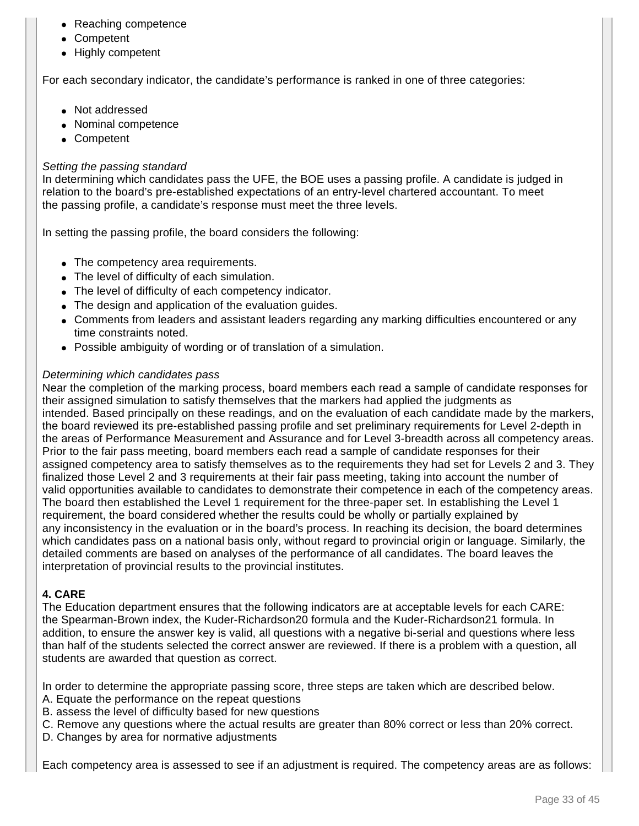- Reaching competence
- Competent
- Highly competent

For each secondary indicator, the candidate's performance is ranked in one of three categories:

- Not addressed
- Nominal competence
- Competent

### Setting the passing standard

In determining which candidates pass the UFE, the BOE uses a passing profile. A candidate is judged in relation to the board's pre-established expectations of an entry-level chartered accountant. To meet the passing profile, a candidate's response must meet the three levels.

In setting the passing profile, the board considers the following:

- The competency area requirements.
- The level of difficulty of each simulation.
- The level of difficulty of each competency indicator.
- The design and application of the evaluation guides.
- Comments from leaders and assistant leaders regarding any marking difficulties encountered or any time constraints noted.
- Possible ambiguity of wording or of translation of a simulation.

#### Determining which candidates pass

Near the completion of the marking process, board members each read a sample of candidate responses for their assigned simulation to satisfy themselves that the markers had applied the judgments as intended. Based principally on these readings, and on the evaluation of each candidate made by the markers, the board reviewed its pre-established passing profile and set preliminary requirements for Level 2-depth in the areas of Performance Measurement and Assurance and for Level 3-breadth across all competency areas. Prior to the fair pass meeting, board members each read a sample of candidate responses for their assigned competency area to satisfy themselves as to the requirements they had set for Levels 2 and 3. They finalized those Level 2 and 3 requirements at their fair pass meeting, taking into account the number of valid opportunities available to candidates to demonstrate their competence in each of the competency areas. The board then established the Level 1 requirement for the three-paper set. In establishing the Level 1 requirement, the board considered whether the results could be wholly or partially explained by any inconsistency in the evaluation or in the board's process. In reaching its decision, the board determines which candidates pass on a national basis only, without regard to provincial origin or language. Similarly, the detailed comments are based on analyses of the performance of all candidates. The board leaves the interpretation of provincial results to the provincial institutes.

#### **4. CARE**

The Education department ensures that the following indicators are at acceptable levels for each CARE: the Spearman-Brown index, the Kuder-Richardson20 formula and the Kuder-Richardson21 formula. In addition, to ensure the answer key is valid, all questions with a negative bi-serial and questions where less than half of the students selected the correct answer are reviewed. If there is a problem with a question, all students are awarded that question as correct.

In order to determine the appropriate passing score, three steps are taken which are described below.

- A. Equate the performance on the repeat questions
- B. assess the level of difficulty based for new questions
- C. Remove any questions where the actual results are greater than 80% correct or less than 20% correct.
- D. Changes by area for normative adjustments

Each competency area is assessed to see if an adjustment is required. The competency areas are as follows: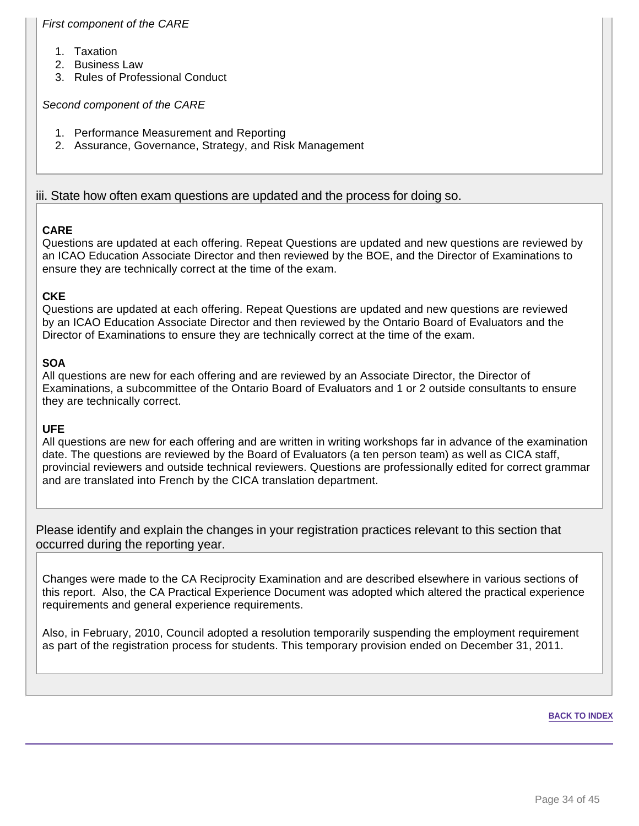# First component of the CARE

- 1. Taxation
- 2. Business Law
- 3. Rules of Professional Conduct

#### Second component of the CARE

- 1. Performance Measurement and Reporting
- 2. Assurance, Governance, Strategy, and Risk Management

# iii. State how often exam questions are updated and the process for doing so.

# **CARE**

Questions are updated at each offering. Repeat Questions are updated and new questions are reviewed by an ICAO Education Associate Director and then reviewed by the BOE, and the Director of Examinations to ensure they are technically correct at the time of the exam.

# **CKE**

Questions are updated at each offering. Repeat Questions are updated and new questions are reviewed by an ICAO Education Associate Director and then reviewed by the Ontario Board of Evaluators and the Director of Examinations to ensure they are technically correct at the time of the exam.

# **SOA**

All questions are new for each offering and are reviewed by an Associate Director, the Director of Examinations, a subcommittee of the Ontario Board of Evaluators and 1 or 2 outside consultants to ensure they are technically correct.

# **UFE**

All questions are new for each offering and are written in writing workshops far in advance of the examination date. The questions are reviewed by the Board of Evaluators (a ten person team) as well as CICA staff, provincial reviewers and outside technical reviewers. Questions are professionally edited for correct grammar and are translated into French by the CICA translation department.

Please identify and explain the changes in your registration practices relevant to this section that occurred during the reporting year.

Changes were made to the CA Reciprocity Examination and are described elsewhere in various sections of this report. Also, the CA Practical Experience Document was adopted which altered the practical experience requirements and general experience requirements.

Also, in February, 2010, Council adopted a resolution temporarily suspending the employment requirement as part of the registration process for students. This temporary provision ended on December 31, 2011.

#### **BACK TO INDEX**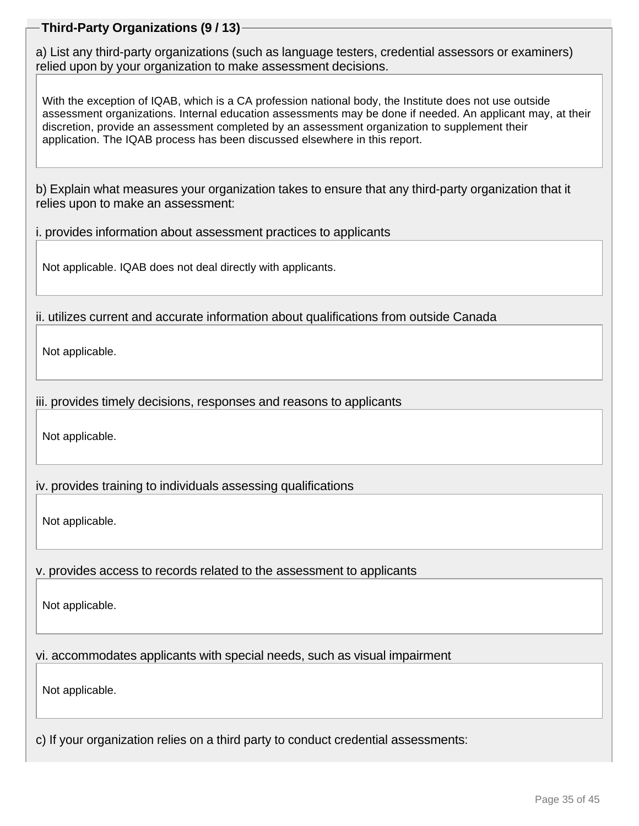# **Third-Party Organizations (9 / 13)**

a) List any third-party organizations (such as language testers, credential assessors or examiners) relied upon by your organization to make assessment decisions.

With the exception of IQAB, which is a CA profession national body, the Institute does not use outside assessment organizations. Internal education assessments may be done if needed. An applicant may, at their discretion, provide an assessment completed by an assessment organization to supplement their application. The IQAB process has been discussed elsewhere in this report.

b) Explain what measures your organization takes to ensure that any third-party organization that it relies upon to make an assessment:

i. provides information about assessment practices to applicants

Not applicable. IQAB does not deal directly with applicants.

ii. utilizes current and accurate information about qualifications from outside Canada

Not applicable.

iii. provides timely decisions, responses and reasons to applicants

Not applicable.

iv. provides training to individuals assessing qualifications

Not applicable.

v. provides access to records related to the assessment to applicants

Not applicable.

vi. accommodates applicants with special needs, such as visual impairment

Not applicable.

c) If your organization relies on a third party to conduct credential assessments: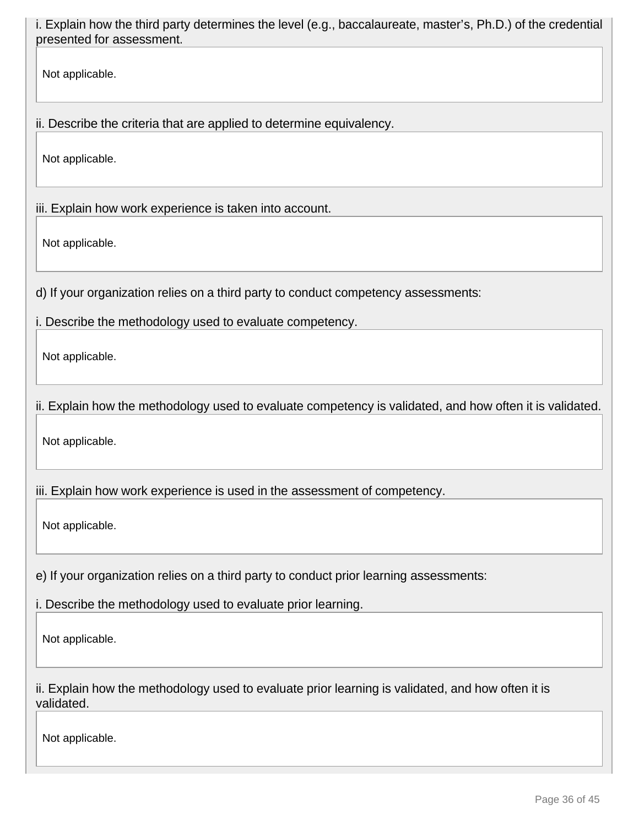i. Explain how the third party determines the level (e.g., baccalaureate, master's, Ph.D.) of the credential presented for assessment.

Not applicable.

ii. Describe the criteria that are applied to determine equivalency.

Not applicable.

iii. Explain how work experience is taken into account.

Not applicable.

d) If your organization relies on a third party to conduct competency assessments:

i. Describe the methodology used to evaluate competency.

Not applicable.

ii. Explain how the methodology used to evaluate competency is validated, and how often it is validated.

Not applicable.

iii. Explain how work experience is used in the assessment of competency.

Not applicable.

e) If your organization relies on a third party to conduct prior learning assessments:

i. Describe the methodology used to evaluate prior learning.

Not applicable.

ii. Explain how the methodology used to evaluate prior learning is validated, and how often it is validated.

Not applicable.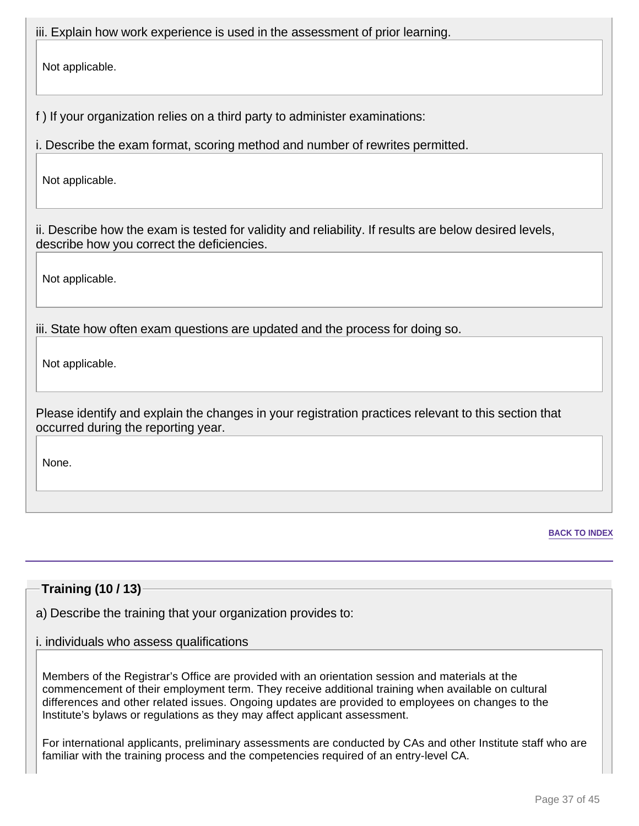iii. Explain how work experience is used in the assessment of prior learning.

Not applicable.

f ) If your organization relies on a third party to administer examinations:

i. Describe the exam format, scoring method and number of rewrites permitted.

Not applicable.

ii. Describe how the exam is tested for validity and reliability. If results are below desired levels, describe how you correct the deficiencies.

Not applicable.

iii. State how often exam questions are updated and the process for doing so.

Not applicable.

Please identify and explain the changes in your registration practices relevant to this section that occurred during the reporting year.

None.

**BACK TO INDEX**

# **Training (10 / 13)**

a) Describe the training that your organization provides to:

# i. individuals who assess qualifications

Members of the Registrar's Office are provided with an orientation session and materials at the commencement of their employment term. They receive additional training when available on cultural differences and other related issues. Ongoing updates are provided to employees on changes to the Institute's bylaws or regulations as they may affect applicant assessment.

For international applicants, preliminary assessments are conducted by CAs and other Institute staff who are familiar with the training process and the competencies required of an entry-level CA.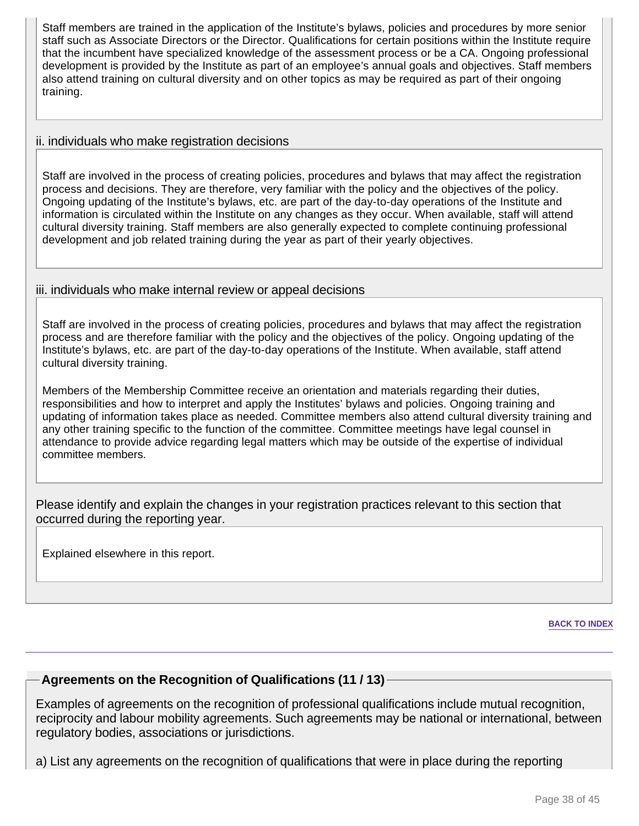Staff members are trained in the application of the Institute's bylaws, policies and procedures by more senior staff such as Associate Directors or the Director. Qualifications for certain positions within the Institute require that the incumbent have specialized knowledge of the assessment process or be a CA. Ongoing professional development is provided by the Institute as part of an employee's annual goals and objectives. Staff members also attend training on cultural diversity and on other topics as may be required as part of their ongoing training.

# ii. individuals who make registration decisions

Staff are involved in the process of creating policies, procedures and bylaws that may affect the registration process and decisions. They are therefore, very familiar with the policy and the objectives of the policy. Ongoing updating of the Institute's bylaws, etc. are part of the day-to-day operations of the Institute and information is circulated within the Institute on any changes as they occur. When available, staff will attend cultural diversity training. Staff members are also generally expected to complete continuing professional development and job related training during the year as part of their yearly objectives.

# iii. individuals who make internal review or appeal decisions

Staff are involved in the process of creating policies, procedures and bylaws that may affect the registration process and are therefore familiar with the policy and the objectives of the policy. Ongoing updating of the Institute's bylaws, etc. are part of the day-to-day operations of the Institute. When available, staff attend cultural diversity training.

Members of the Membership Committee receive an orientation and materials regarding their duties, responsibilities and how to interpret and apply the Institutes' bylaws and policies. Ongoing training and updating of information takes place as needed. Committee members also attend cultural diversity training and any other training specific to the function of the committee. Committee meetings have legal counsel in attendance to provide advice regarding legal matters which may be outside of the expertise of individual committee members.

Please identify and explain the changes in your registration practices relevant to this section that occurred during the reporting year.

Explained elsewhere in this report.

**BACK TO INDEX**

# **Agreements on the Recognition of Qualifications (11 / 13)**

Examples of agreements on the recognition of professional qualifications include mutual recognition, reciprocity and labour mobility agreements. Such agreements may be national or international, between regulatory bodies, associations or jurisdictions.

a) List any agreements on the recognition of qualifications that were in place during the reporting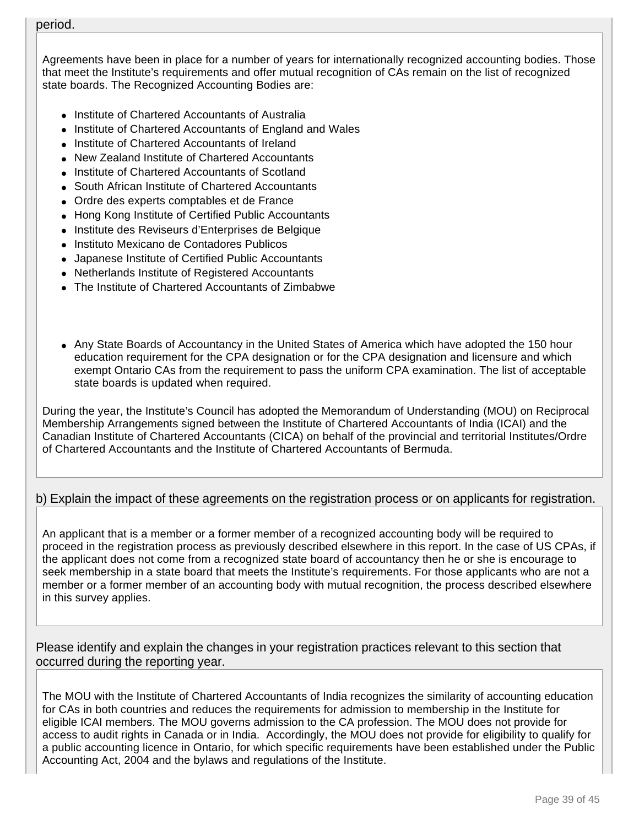#### period.

Agreements have been in place for a number of years for internationally recognized accounting bodies. Those that meet the Institute's requirements and offer mutual recognition of CAs remain on the list of recognized state boards. The Recognized Accounting Bodies are:

- Institute of Chartered Accountants of Australia
- Institute of Chartered Accountants of England and Wales
- Institute of Chartered Accountants of Ireland
- New Zealand Institute of Chartered Accountants
- Institute of Chartered Accountants of Scotland
- South African Institute of Chartered Accountants
- Ordre des experts comptables et de France
- Hong Kong Institute of Certified Public Accountants
- Institute des Reviseurs d'Enterprises de Belgique
- Instituto Mexicano de Contadores Publicos
- Japanese Institute of Certified Public Accountants
- Netherlands Institute of Registered Accountants
- The Institute of Chartered Accountants of Zimbabwe
- Any State Boards of Accountancy in the United States of America which have adopted the 150 hour education requirement for the CPA designation or for the CPA designation and licensure and which exempt Ontario CAs from the requirement to pass the uniform CPA examination. The list of acceptable state boards is updated when required.

During the year, the Institute's Council has adopted the Memorandum of Understanding (MOU) on Reciprocal Membership Arrangements signed between the Institute of Chartered Accountants of India (ICAI) and the Canadian Institute of Chartered Accountants (CICA) on behalf of the provincial and territorial Institutes/Ordre of Chartered Accountants and the Institute of Chartered Accountants of Bermuda.

# b) Explain the impact of these agreements on the registration process or on applicants for registration.

An applicant that is a member or a former member of a recognized accounting body will be required to proceed in the registration process as previously described elsewhere in this report. In the case of US CPAs, if the applicant does not come from a recognized state board of accountancy then he or she is encourage to seek membership in a state board that meets the Institute's requirements. For those applicants who are not a member or a former member of an accounting body with mutual recognition, the process described elsewhere in this survey applies.

Please identify and explain the changes in your registration practices relevant to this section that occurred during the reporting year.

The MOU with the Institute of Chartered Accountants of India recognizes the similarity of accounting education for CAs in both countries and reduces the requirements for admission to membership in the Institute for eligible ICAI members. The MOU governs admission to the CA profession. The MOU does not provide for access to audit rights in Canada or in India. Accordingly, the MOU does not provide for eligibility to qualify for a public accounting licence in Ontario, for which specific requirements have been established under the Public Accounting Act, 2004 and the bylaws and regulations of the Institute.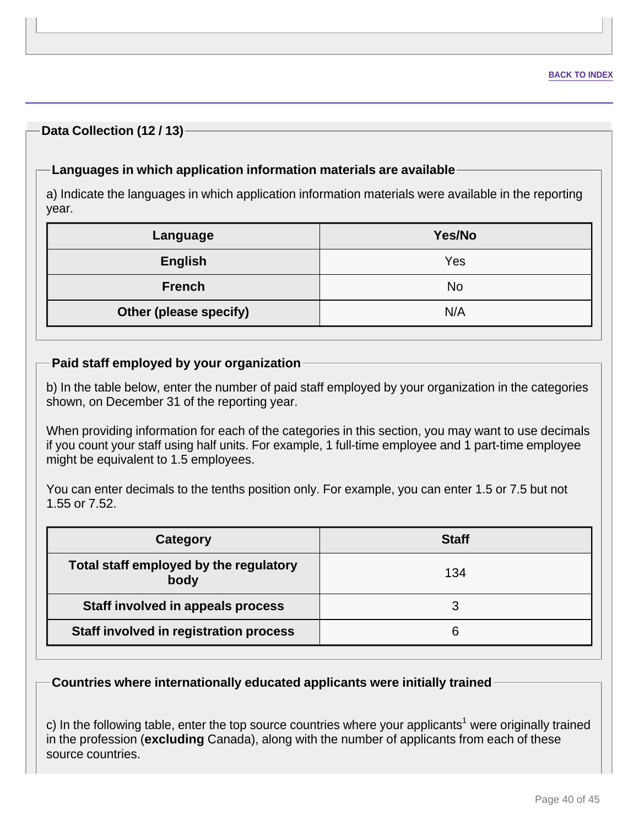# **Data Collection (12 / 13)**

# **Languages in which application information materials are available**

a) Indicate the languages in which application information materials were available in the reporting year.

| Language               | Yes/No |  |  |  |
|------------------------|--------|--|--|--|
| <b>English</b>         | Yes    |  |  |  |
| <b>French</b>          | No     |  |  |  |
| Other (please specify) | N/A    |  |  |  |

# **Paid staff employed by your organization**

b) In the table below, enter the number of paid staff employed by your organization in the categories shown, on December 31 of the reporting year.

When providing information for each of the categories in this section, you may want to use decimals if you count your staff using half units. For example, 1 full-time employee and 1 part-time employee might be equivalent to 1.5 employees.

You can enter decimals to the tenths position only. For example, you can enter 1.5 or 7.5 but not 1.55 or 7.52.

| Category                                       | <b>Staff</b> |
|------------------------------------------------|--------------|
| Total staff employed by the regulatory<br>body | 134          |
| Staff involved in appeals process              |              |
| Staff involved in registration process         |              |

**Countries where internationally educated applicants were initially trained**

c) In the following table, enter the top source countries where your applicants<sup>1</sup> were originally trained in the profession (**excluding** Canada), along with the number of applicants from each of these source countries.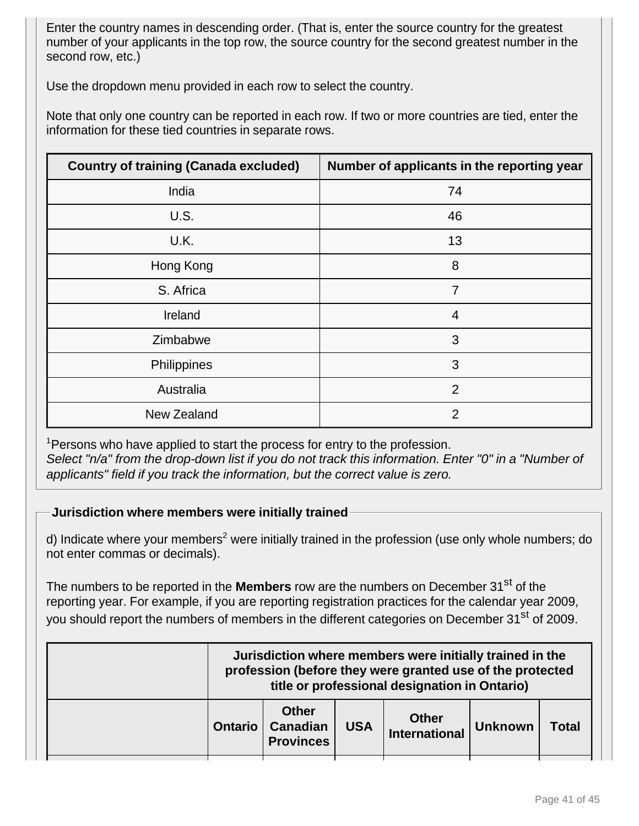Enter the country names in descending order. (That is, enter the source country for the greatest number of your applicants in the top row, the source country for the second greatest number in the second row, etc.)

Use the dropdown menu provided in each row to select the country.

Note that only one country can be reported in each row. If two or more countries are tied, enter the information for these tied countries in separate rows.

| <b>Country of training (Canada excluded)</b> | Number of applicants in the reporting year |
|----------------------------------------------|--------------------------------------------|
| India                                        | 74                                         |
| U.S.                                         | 46                                         |
| U.K.                                         | 13                                         |
| Hong Kong                                    | 8                                          |
| S. Africa                                    | $\overline{7}$                             |
| Ireland                                      | $\overline{4}$                             |
| Zimbabwe                                     | 3                                          |
| Philippines                                  | 3                                          |
| Australia                                    | $\overline{2}$                             |
| New Zealand                                  | 2                                          |

<sup>1</sup> Persons who have applied to start the process for entry to the profession. Select "n/a" from the drop-down list if you do not track this information. Enter "0" in a "Number of applicants" field if you track the information, but the correct value is zero.

**Jurisdiction where members were initially trained**

d) Indicate where your members<sup>2</sup> were initially trained in the profession (use only whole numbers; do not enter commas or decimals).

The numbers to be reported in the **Members** row are the numbers on December 31<sup>st</sup> of the reporting year. For example, if you are reporting registration practices for the calendar year 2009, you should report the numbers of members in the different categories on December 31<sup>st</sup> of 2009.

| Jurisdiction where members were initially trained in the<br>profession (before they were granted use of the protected<br>title or professional designation in Ontario) |                                                     |            |                               |                |              |  |
|------------------------------------------------------------------------------------------------------------------------------------------------------------------------|-----------------------------------------------------|------------|-------------------------------|----------------|--------------|--|
| <b>Ontario</b>                                                                                                                                                         | <b>Other</b><br><b>Canadian</b><br><b>Provinces</b> | <b>USA</b> | <b>Other</b><br>International | <b>Unknown</b> | <b>Total</b> |  |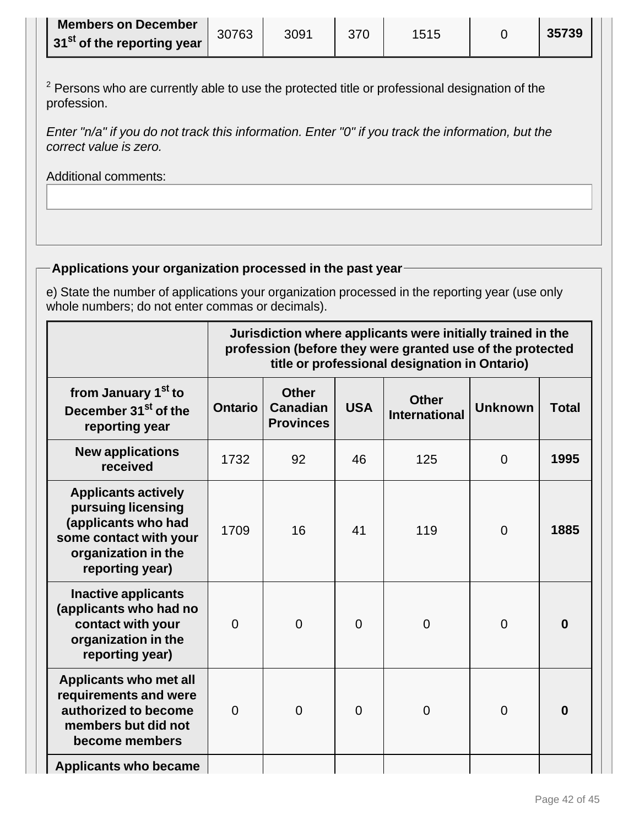| <b>Members on December</b>                 | 30763 | 3091 | 370 | 1515 | 35739 |
|--------------------------------------------|-------|------|-----|------|-------|
| 31 <sup>st</sup> of the reporting year $ $ |       |      |     |      |       |

 $2$  Persons who are currently able to use the protected title or professional designation of the profession.

Enter "n/a" if you do not track this information. Enter "0" if you track the information, but the correct value is zero.

Additional comments:

# **Applications your organization processed in the past year**

e) State the number of applications your organization processed in the reporting year (use only whole numbers; do not enter commas or decimals).

|                                                                                                                                             |                | Jurisdiction where applicants were initially trained in the<br>profession (before they were granted use of the protected<br>title or professional designation in Ontario) |                |                                      |                |              |  |
|---------------------------------------------------------------------------------------------------------------------------------------------|----------------|---------------------------------------------------------------------------------------------------------------------------------------------------------------------------|----------------|--------------------------------------|----------------|--------------|--|
| from January 1 <sup>st</sup> to<br>December 31 <sup>st</sup> of the<br>reporting year                                                       | <b>Ontario</b> | <b>Other</b><br><b>Canadian</b><br><b>Provinces</b>                                                                                                                       | <b>USA</b>     | <b>Other</b><br><b>International</b> | <b>Unknown</b> | <b>Total</b> |  |
| <b>New applications</b><br>received                                                                                                         | 1732           | 92                                                                                                                                                                        | 46             | 125                                  | $\overline{0}$ | 1995         |  |
| <b>Applicants actively</b><br>pursuing licensing<br>(applicants who had<br>some contact with your<br>organization in the<br>reporting year) | 1709           | 16                                                                                                                                                                        | 41             | 119                                  | $\overline{0}$ | 1885         |  |
| <b>Inactive applicants</b><br>(applicants who had no<br>contact with your<br>organization in the<br>reporting year)                         | $\overline{0}$ | $\overline{0}$                                                                                                                                                            | $\overline{0}$ | $\overline{0}$                       | $\overline{0}$ | 0            |  |
| <b>Applicants who met all</b><br>requirements and were<br>authorized to become<br>members but did not<br>become members                     | $\overline{0}$ | $\overline{0}$                                                                                                                                                            | $\overline{0}$ | $\overline{0}$                       | $\overline{0}$ | 0            |  |
| <b>Applicants who became</b>                                                                                                                |                |                                                                                                                                                                           |                |                                      |                |              |  |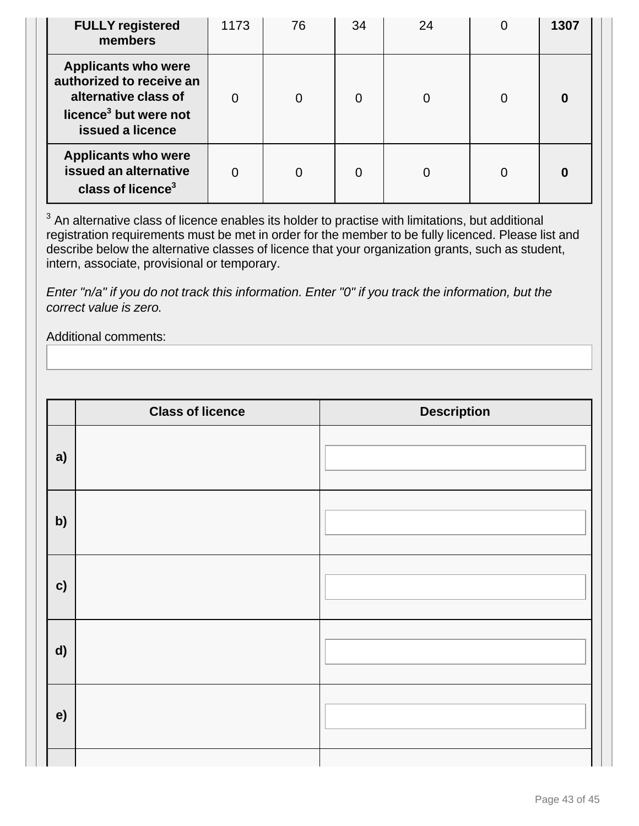| <b>FULLY registered</b><br>members                                                                                                      | 1173 | 76             | 34             | 24 | 0 | 1307 |
|-----------------------------------------------------------------------------------------------------------------------------------------|------|----------------|----------------|----|---|------|
| <b>Applicants who were</b><br>authorized to receive an<br>alternative class of<br>licence <sup>3</sup> but were not<br>issued a licence |      | $\overline{0}$ | $\overline{0}$ | 0  | 0 | 0    |
| <b>Applicants who were</b><br>issued an alternative<br>class of licence <sup>3</sup>                                                    |      | 0              | 0              |    | 0 | 0    |

 $3$  An alternative class of licence enables its holder to practise with limitations, but additional registration requirements must be met in order for the member to be fully licenced. Please list and describe below the alternative classes of licence that your organization grants, such as student, intern, associate, provisional or temporary.

Enter "n/a" if you do not track this information. Enter "0" if you track the information, but the correct value is zero.

# Additional comments:

|               | <b>Class of licence</b> | <b>Description</b> |
|---------------|-------------------------|--------------------|
| a)            |                         |                    |
| b)            |                         |                    |
| $\mathbf{c})$ |                         |                    |
| d)            |                         |                    |
| e)            |                         |                    |
|               |                         |                    |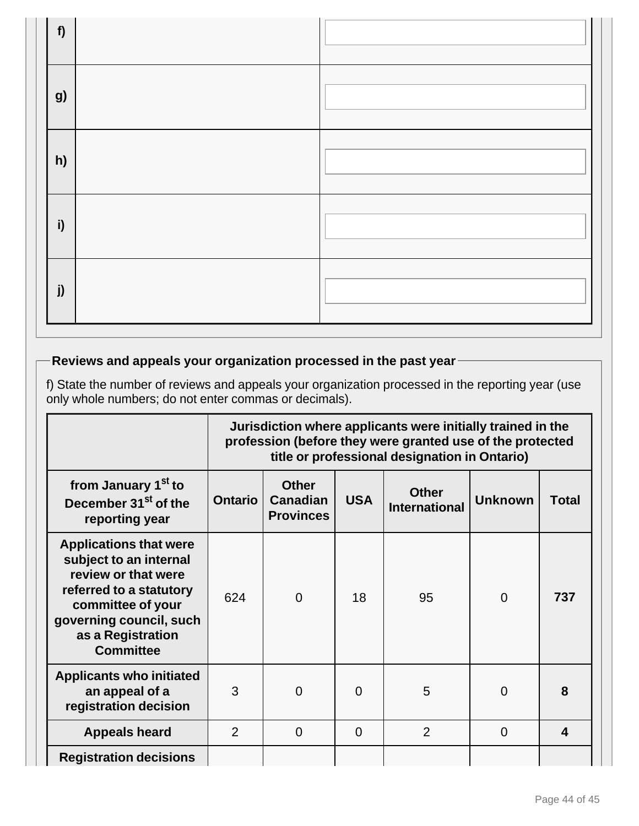| f) |  |
|----|--|
| g) |  |
| h) |  |
| i) |  |
| j) |  |

# **Reviews and appeals your organization processed in the past year**

f) State the number of reviews and appeals your organization processed in the reporting year (use only whole numbers; do not enter commas or decimals).

|                                                                                                                                                                                                    | Jurisdiction where applicants were initially trained in the<br>profession (before they were granted use of the protected<br>title or professional designation in Ontario) |                                                                                                                                             |          |                |          |     |  |  |  |  |
|----------------------------------------------------------------------------------------------------------------------------------------------------------------------------------------------------|---------------------------------------------------------------------------------------------------------------------------------------------------------------------------|---------------------------------------------------------------------------------------------------------------------------------------------|----------|----------------|----------|-----|--|--|--|--|
| from January 1 <sup>st</sup> to<br>December 31 <sup>st</sup> of the<br>reporting year                                                                                                              | <b>Ontario</b>                                                                                                                                                            | <b>Other</b><br><b>Other</b><br><b>USA</b><br><b>Unknown</b><br><b>Canadian</b><br><b>Total</b><br><b>International</b><br><b>Provinces</b> |          |                |          |     |  |  |  |  |
| <b>Applications that were</b><br>subject to an internal<br>review or that were<br>referred to a statutory<br>committee of your<br>governing council, such<br>as a Registration<br><b>Committee</b> | 624                                                                                                                                                                       | $\overline{0}$                                                                                                                              | 18       | 95             | $\Omega$ | 737 |  |  |  |  |
| <b>Applicants who initiated</b><br>an appeal of a<br>registration decision                                                                                                                         | 3                                                                                                                                                                         | $\Omega$                                                                                                                                    | $\Omega$ | 5              | 0        | 8   |  |  |  |  |
| <b>Appeals heard</b>                                                                                                                                                                               | $\overline{2}$                                                                                                                                                            | $\Omega$                                                                                                                                    | $\Omega$ | $\overline{2}$ | $\Omega$ | 4   |  |  |  |  |
| <b>Registration decisions</b>                                                                                                                                                                      |                                                                                                                                                                           |                                                                                                                                             |          |                |          |     |  |  |  |  |